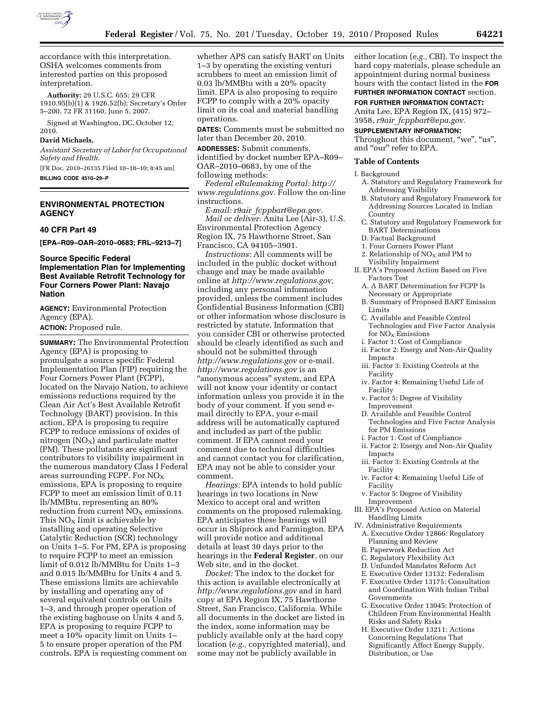

accordance with this interpretation. OSHA welcomes comments from interested parties on this proposed interpretation.

**Authority:** 29 U.S.C. 655; 29 CFR 1910.95(b)(1) & 1926.52(b); Secretary's Order 5–200, 72 FR 31160, June 5, 2007.

Signed at Washington, DC, October 12, 2010.

#### **David Michaels,**

*Assistant Secretary of Labor for Occupational Safety and Health.* 

[FR Doc. 2010–26135 Filed 10–18–10; 8:45 am] **BILLING CODE 4510–29–P** 

# **ENVIRONMENTAL PROTECTION AGENCY**

#### **40 CFR Part 49**

**[EPA–R09–OAR–2010–0683; FRL–9213–7]** 

## **Source Specific Federal Implementation Plan for Implementing Best Available Retrofit Technology for Four Corners Power Plant: Navajo Nation**

**AGENCY:** Environmental Protection Agency (EPA).

**ACTION:** Proposed rule.

**SUMMARY:** The Environmental Protection Agency (EPA) is proposing to promulgate a source specific Federal Implementation Plan (FIP) requiring the Four Corners Power Plant (FCPP), located on the Navajo Nation, to achieve emissions reductions required by the Clean Air Act's Best Available Retrofit Technology (BART) provision. In this action, EPA is proposing to require FCPP to reduce emissions of oxides of nitrogen  $(NO<sub>X</sub>)$  and particulate matter (PM). These pollutants are significant contributors to visibility impairment in the numerous mandatory Class I Federal areas surrounding FCPP. For  $NO<sub>x</sub>$ emissions, EPA is proposing to require FCPP to meet an emission limit of 0.11 lb/MMBtu, representing an 80% reduction from current  $NO<sub>x</sub>$  emissions. This  $NO<sub>X</sub>$  limit is achievable by installing and operating Selective Catalytic Reduction (SCR) technology on Units 1–5. For PM, EPA is proposing to require FCPP to meet an emission limit of 0.012 lb/MMBtu for Units 1–3 and 0.015 lb/MMBtu for Units 4 and 5. These emissions limits are achievable by installing and operating any of several equivalent controls on Units 1–3, and through proper operation of the existing baghouse on Units 4 and 5. EPA is proposing to require FCPP to meet a 10% opacity limit on Units 1– 5 to ensure proper operation of the PM controls. EPA is requesting comment on

whether APS can satisfy BART on Units 1–3 by operating the existing venturi scrubbers to meet an emission limit of 0.03 lb/MMBtu with a 20% opacity limit. EPA is also proposing to require FCPP to comply with a 20% opacity limit on its coal and material handling operations.

**DATES:** Comments must be submitted no later than December 20, 2010.

**ADDRESSES:** Submit comments,

identified by docket number EPA–R09– OAR–2010–0683, by one of the following methods:

*Federal eRulemaking Portal: [http://](http://www.regulations.gov)  [www.regulations.gov.](http://www.regulations.gov)* Follow the on-line instructions.

*E-mail: r9air*\_*[fcppbart@epa.gov.](mailto:r9air_fcppbart@epa.gov) Mail or deliver:* Anita Lee (Air-3), U.S. Environmental Protection Agency Region IX, 75 Hawthorne Street, San Francisco, CA 94105–3901.

*Instructions:* All comments will be included in the public docket without change and may be made available online at *[http://www.regulations.gov,](http://www.regulations.gov)*  including any personal information provided, unless the comment includes Confidential Business Information (CBI) or other information whose disclosure is restricted by statute. Information that you consider CBI or otherwise protected should be clearly identified as such and should not be submitted through *<http://www.regulations.gov>* or e-mail. *<http://www.regulations.gov>* is an ''anonymous access'' system, and EPA will not know your identity or contact information unless you provide it in the body of your comment. If you send email directly to EPA, your e-mail address will be automatically captured and included as part of the public comment. If EPA cannot read your comment due to technical difficulties and cannot contact you for clarification, EPA may not be able to consider your comment.

*Hearings:* EPA intends to hold public hearings in two locations in New Mexico to accept oral and written comments on the proposed rulemaking. EPA anticipates these hearings will occur in Shiprock and Farmington. EPA will provide notice and additional details at least 30 days prior to the hearings in the **Federal Register**, on our Web site, and in the docket.

*Docket:* The index to the docket for this action is available electronically at *<http://www.regulations.gov>* and in hard copy at EPA Region IX, 75 Hawthorne Street, San Francisco, California. While all documents in the docket are listed in the index, some information may be publicly available only at the hard copy location (*e.g.,* copyrighted material), and some may not be publicly available in

either location (*e.g.,* CBI). To inspect the hard copy materials, please schedule an appointment during normal business hours with the contact listed in the **FOR FURTHER INFORMATION CONTACT** section.

**FOR FURTHER INFORMATION CONTACT:**  Anita Lee, EPA Region IX, (415) 972– 3958, *r9air*\_*[fcppbart@epa.gov.](mailto:r9air_fcppbart@epa.gov)* 

#### **SUPPLEMENTARY INFORMATION:**

Throughout this document, "we", "us", and "our" refer to EPA.

#### **Table of Contents**

- I. Background
	- A. Statutory and Regulatory Framework for Addressing Visibility
- B. Statutory and Regulatory Framework for Addressing Sources Located in Indian Country
- C. Statutory and Regulatory Framework for BART Determinations
- D. Factual Background
- 1. Four Corners Power Plant
- 2. Relationship of  $NO<sub>X</sub>$  and PM to Visibility Impairment
- II. EPA's Proposed Action Based on Five Factors Test
- A. A BART Determination for FCPP Is Necessary or Appropriate
- B. Summary of Proposed BART Emission Limits
- C. Available and Feasible Control Technologies and Five Factor Analysis for  $NO<sub>x</sub>$  Emissions
- i. Factor 1: Cost of Compliance
- ii. Factor 2: Energy and Non-Air Quality Impacts
- iii. Factor 3: Existing Controls at the Facility
- iv. Factor 4: Remaining Useful Life of Facility
- v. Factor 5: Degree of Visibility Improvement
- D. Available and Feasible Control Technologies and Five Factor Analysis for PM Emissions
- i. Factor 1: Cost of Compliance
- ii. Factor 2: Energy and Non-Air Quality Impacts
- iii. Factor 3: Existing Controls at the Facility
- iv. Factor 4: Remaining Useful Life of Facility
- v. Factor 5: Degree of Visibility Improvement
- III. EPA's Proposed Action on Material Handling Limits
- IV. Administrative Requirements A. Executive Order 12866: Regulatory Planning and Review
- B. Paperwork Reduction Act
- C. Regulatory Flexibility Act
- D. Unfunded Mandates Reform Act
- E. Executive Order 13132: Federalism
- F. Executive Order 13175: Consultation and Coordination With Indian Tribal Governments
- G. Executive Order 13045: Protection of Children From Environmental Health Risks and Safety Risks
- H. Executive Order 13211: Actions Concerning Regulations That Significantly Affect Energy Supply, Distribution, or Use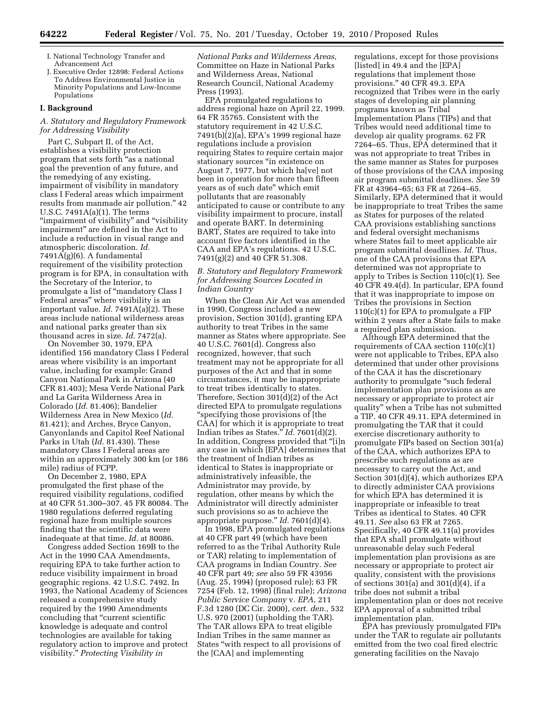- I. National Technology Transfer and Advancement Act
- Executive Order 12898: Federal Actions To Address Environmental Justice in Minority Populations and Low-Income Populations

## **I. Background**

## *A. Statutory and Regulatory Framework for Addressing Visibility*

Part C, Subpart II, of the Act, establishes a visibility protection program that sets forth ''as a national goal the prevention of any future, and the remedying of any existing, impairment of visibility in mandatory class I Federal areas which impairment results from manmade air pollution.'' 42 U.S.C. 7491A(a)(1). The terms ''impairment of visibility'' and ''visibility impairment'' are defined in the Act to include a reduction in visual range and atmospheric discoloration. *Id.*  7491A(g)(6). A fundamental requirement of the visibility protection program is for EPA, in consultation with the Secretary of the Interior, to promulgate a list of ''mandatory Class I Federal areas'' where visibility is an important value. *Id.* 7491A(a)(2). These areas include national wilderness areas and national parks greater than six thousand acres in size. *Id.* 7472(a).

On November 30, 1979, EPA identified 156 mandatory Class I Federal areas where visibility is an important value, including for example: Grand Canyon National Park in Arizona (40 CFR 81.403); Mesa Verde National Park and La Garita Wilderness Area in Colorado (*Id.* 81.406); Bandelier Wilderness Area in New Mexico (*Id.*  81.421); and Arches, Bryce Canyon, Canyonlands and Capitol Reef National Parks in Utah (*Id.* 81.430). These mandatory Class I Federal areas are within an approximately 300 km (or 186 mile) radius of FCPP.

On December 2, 1980, EPA promulgated the first phase of the required visibility regulations, codified at 40 CFR 51.300–307. 45 FR 80084. The 1980 regulations deferred regulating regional haze from multiple sources finding that the scientific data were inadequate at that time. *Id.* at 80086.

Congress added Section 169B to the Act in the 1990 CAA Amendments, requiring EPA to take further action to reduce visibility impairment in broad geographic regions. 42 U.S.C. 7492. In 1993, the National Academy of Sciences released a comprehensive study required by the 1990 Amendments concluding that ''current scientific knowledge is adequate and control technologies are available for taking regulatory action to improve and protect visibility.'' *Protecting Visibility in* 

*National Parks and Wilderness Areas,*  Committee on Haze in National Parks and Wilderness Areas, National Research Council, National Academy Press (1993).

EPA promulgated regulations to address regional haze on April 22, 1999. 64 FR 35765. Consistent with the statutory requirement in 42 U.S.C. 7491(b)(2)(a), EPA's 1999 regional haze regulations include a provision requiring States to require certain major stationary sources "in existence on August 7, 1977, but which ha[ve] not been in operation for more than fifteen years as of such date'' which emit pollutants that are reasonably anticipated to cause or contribute to any visibility impairment to procure, install and operate BART. In determining BART, States are required to take into account five factors identified in the CAA and EPA's regulations. 42 U.S.C. 7491(g)(2) and 40 CFR 51.308.

## *B. Statutory and Regulatory Framework for Addressing Sources Located in Indian Country*

When the Clean Air Act was amended in 1990, Congress included a new provision, Section 301(d), granting EPA authority to treat Tribes in the same manner as States where appropriate. See 40 U.S.C. 7601(d). Congress also recognized, however, that such treatment may not be appropriate for all purposes of the Act and that in some circumstances, it may be inappropriate to treat tribes identically to states. Therefore, Section 301(d)(2) of the Act directed EPA to promulgate regulations ''specifying those provisions of [the CAA] for which it is appropriate to treat Indian tribes as States.'' *Id.* 7601(d)(2). In addition, Congress provided that ''[i]n any case in which [EPA] determines that the treatment of Indian tribes as identical to States is inappropriate or administratively infeasible, the Administrator may provide, by regulation, other means by which the Administrator will directly administer such provisions so as to achieve the appropriate purpose.'' *Id.* 7601(d)(4).

In 1998, EPA promulgated regulations at 40 CFR part 49 (which have been referred to as the Tribal Authority Rule or TAR) relating to implementation of CAA programs in Indian Country. *See*  40 CFR part 49; *see* also 59 FR 43956 (Aug. 25, 1994) (proposed rule); 63 FR 7254 (Feb. 12, 1998) (final rule); *Arizona Public Service Company* v. *EPA,* 211 F.3d 1280 (DC Cir. 2000), *cert. den.,* 532 U.S. 970 (2001) (upholding the TAR). The TAR allows EPA to treat eligible Indian Tribes in the same manner as States ''with respect to all provisions of the [CAA] and implementing

regulations, except for those provisions [listed] in 49.4 and the [EPA] regulations that implement those provisions.'' 40 CFR 49.3. EPA recognized that Tribes were in the early stages of developing air planning programs known as Tribal Implementation Plans (TIPs) and that Tribes would need additional time to develop air quality programs. 62 FR 7264–65. Thus, EPA determined that it was not appropriate to treat Tribes in the same manner as States for purposes of those provisions of the CAA imposing air program submittal deadlines. *See* 59 FR at 43964–65; 63 FR at 7264–65. Similarly, EPA determined that it would be inappropriate to treat Tribes the same as States for purposes of the related CAA provisions establishing sanctions and federal oversight mechanisms where States fail to meet applicable air program submittal deadlines. *Id.* Thus, one of the CAA provisions that EPA determined was not appropriate to apply to Tribes is Section 110(c)(1). See 40 CFR 49.4(d). In particular, EPA found that it was inappropriate to impose on Tribes the provisions in Section  $110(c)(1)$  for EPA to promulgate a FIP within 2 years after a State fails to make a required plan submission.

Although EPA determined that the requirements of CAA section 110(c)(1) were not applicable to Tribes, EPA also determined that under other provisions of the CAA it has the discretionary authority to promulgate ''such federal implementation plan provisions as are necessary or appropriate to protect air quality'' when a Tribe has not submitted a TIP. 40 CFR 49.11. EPA determined in promulgating the TAR that it could exercise discretionary authority to promulgate FIPs based on Section 301(a) of the CAA, which authorizes EPA to prescribe such regulations as are necessary to carry out the Act, and Section 301(d)(4), which authorizes EPA to directly administer CAA provisions for which EPA has determined it is inappropriate or infeasible to treat Tribes as identical to States. 40 CFR 49.11. *See* also 63 FR at 7265. Specifically, 40 CFR 49.11(a) provides that EPA shall promulgate without unreasonable delay such Federal implementation plan provisions as are necessary or appropriate to protect air quality, consistent with the provisions of sections 301(a) and 301(d)(4), if a tribe does not submit a tribal implementation plan or does not receive EPA approval of a submitted tribal implementation plan.

EPA has previously promulgated FIPs under the TAR to regulate air pollutants emitted from the two coal fired electric generating facilities on the Navajo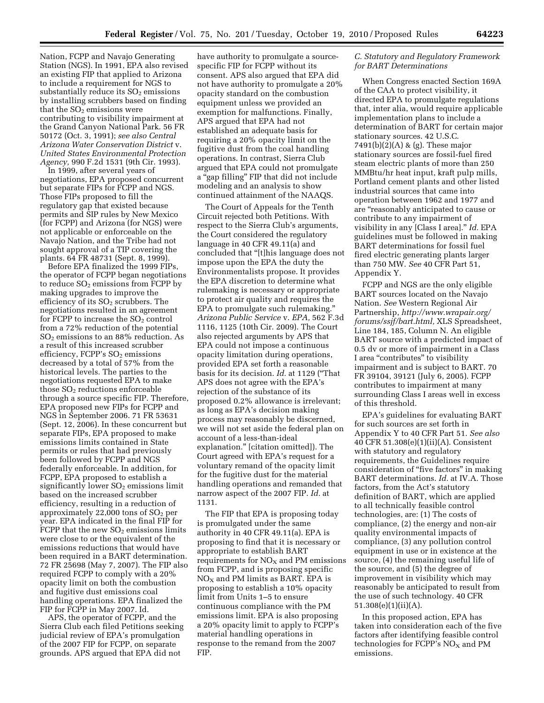Nation, FCPP and Navajo Generating Station (NGS). In 1991, EPA also revised an existing FIP that applied to Arizona to include a requirement for NGS to substantially reduce its  $SO<sub>2</sub>$  emissions by installing scrubbers based on finding that the  $SO<sub>2</sub>$  emissions were contributing to visibility impairment at the Grand Canyon National Park. 56 FR 50172 (Oct. 3, 1991); *see also Central Arizona Water Conservation District* v. *United States Environmental Protection Agency,* 990 F.2d 1531 (9th Cir. 1993).

In 1999, after several years of negotiations, EPA proposed concurrent but separate FIPs for FCPP and NGS. Those FIPs proposed to fill the regulatory gap that existed because permits and SIP rules by New Mexico (for FCPP) and Arizona (for NGS) were not applicable or enforceable on the Navajo Nation, and the Tribe had not sought approval of a TIP covering the plants. 64 FR 48731 (Sept. 8, 1999).

Before EPA finalized the 1999 FIPs, the operator of FCPP began negotiations to reduce  $SO<sub>2</sub>$  emissions from FCPP by making upgrades to improve the efficiency of its  $SO<sub>2</sub>$  scrubbers. The negotiations resulted in an agreement for FCPP to increase the  $SO<sub>2</sub>$  control from a 72% reduction of the potential  $SO<sub>2</sub>$  emissions to an 88% reduction. As a result of this increased scrubber efficiency, FCPP's  $SO<sub>2</sub>$  emissions decreased by a total of 57% from the historical levels. The parties to the negotiations requested EPA to make those  $SO<sub>2</sub>$  reductions enforceable through a source specific FIP. Therefore, EPA proposed new FIPs for FCPP and NGS in September 2006. 71 FR 53631 (Sept. 12, 2006). In these concurrent but separate FIPs, EPA proposed to make emissions limits contained in State permits or rules that had previously been followed by FCPP and NGS federally enforceable. In addition, for FCPP, EPA proposed to establish a significantly lower  $SO<sub>2</sub>$  emissions limit based on the increased scrubber efficiency, resulting in a reduction of approximately 22,000 tons of  $SO<sub>2</sub>$  per year. EPA indicated in the final FIP for  $FCPP$  that the new  $SO<sub>2</sub>$  emissions limits were close to or the equivalent of the emissions reductions that would have been required in a BART determination. 72 FR 25698 (May 7, 2007). The FIP also required FCPP to comply with a 20% opacity limit on both the combustion and fugitive dust emissions coal handling operations. EPA finalized the FIP for FCPP in May 2007. Id.

APS, the operator of FCPP, and the Sierra Club each filed Petitions seeking judicial review of EPA's promulgation of the 2007 FIP for FCPP, on separate grounds. APS argued that EPA did not

have authority to promulgate a sourcespecific FIP for FCPP without its consent. APS also argued that EPA did not have authority to promulgate a 20% opacity standard on the combustion equipment unless we provided an exemption for malfunctions. Finally, APS argued that EPA had not established an adequate basis for requiring a 20% opacity limit on the fugitive dust from the coal handling operations. In contrast, Sierra Club argued that EPA could not promulgate a "gap filling" FIP that did not include modeling and an analysis to show continued attainment of the NAAQS.

The Court of Appeals for the Tenth Circuit rejected both Petitions. With respect to the Sierra Club's arguments, the Court considered the regulatory language in 40 CFR 49.11(a) and concluded that ''[t]his language does not impose upon the EPA the duty the Environmentalists propose. It provides the EPA discretion to determine what rulemaking is necessary or appropriate to protect air quality and requires the EPA to promulgate such rulemaking.'' *Arizona Public Service* v. *EPA,* 562 F.3d 1116, 1125 (10th Cir. 2009). The Court also rejected arguments by APS that EPA could not impose a continuous opacity limitation during operations, provided EPA set forth a reasonable basis for its decision. *Id.* at 1129 (''That APS does not agree with the EPA's rejection of the substance of its proposed 0.2% allowance is irrelevant; as long as EPA's decision making process may reasonably be discerned, we will not set aside the federal plan on account of a less-than-ideal explanation.'' [citation omitted]). The Court agreed with EPA's request for a voluntary remand of the opacity limit for the fugitive dust for the material handling operations and remanded that narrow aspect of the 2007 FIP. *Id.* at 1131.

The FIP that EPA is proposing today is promulgated under the same authority in 40 CFR 49.11(a). EPA is proposing to find that it is necessary or appropriate to establish BART requirements for  $NO<sub>X</sub>$  and PM emissions from FCPP, and is proposing specific  $NO<sub>x</sub>$  and PM limits as BART. EPA is proposing to establish a 10% opacity limit from Units 1–5 to ensure continuous compliance with the PM emissions limit. EPA is also proposing a 20% opacity limit to apply to FCPP's material handling operations in response to the remand from the 2007 FIP.

## *C. Statutory and Regulatory Framework for BART Determinations*

When Congress enacted Section 169A of the CAA to protect visibility, it directed EPA to promulgate regulations that, inter alia, would require applicable implementation plans to include a determination of BART for certain major stationary sources. 42 U.S.C.  $7491(b)(2)(A)$  & (g). These major stationary sources are fossil-fuel fired steam electric plants of more than 250 MMBtu/hr heat input, kraft pulp mills, Portland cement plants and other listed industrial sources that came into operation between 1962 and 1977 and are ''reasonably anticipated to cause or contribute to any impairment of visibility in any [Class I area].'' *Id.* EPA guidelines must be followed in making BART determinations for fossil fuel fired electric generating plants larger than 750 MW. *See* 40 CFR Part 51, Appendix Y.

FCPP and NGS are the only eligible BART sources located on the Navajo Nation. *See* Western Regional Air Partnership, *[http://www.wrapair.org/](http://www.wrapair.org/forums/ssjf/bart.html)  [forums/ssjf/bart.html,](http://www.wrapair.org/forums/ssjf/bart.html)* XLS Spreadsheet, Line 184, 185, Column N. An eligible BART source with a predicted impact of 0.5 dv or more of impairment in a Class I area ''contributes'' to visibility impairment and is subject to BART. 70 FR 39104, 39121 (July 6, 2005). FCPP contributes to impairment at many surrounding Class I areas well in excess of this threshold.

EPA's guidelines for evaluating BART for such sources are set forth in Appendix Y to 40 CFR Part 51. *See also*  40 CFR 51.308(e)(1)(ii)(A). Consistent with statutory and regulatory requirements, the Guidelines require consideration of "five factors" in making BART determinations. *Id.* at IV.A. Those factors, from the Act's statutory definition of BART, which are applied to all technically feasible control technologies, are: (1) The costs of compliance, (2) the energy and non-air quality environmental impacts of compliance, (3) any pollution control equipment in use or in existence at the source, (4) the remaining useful life of the source, and (5) the degree of improvement in visibility which may reasonably be anticipated to result from the use of such technology. 40 CFR 51.308(e)(1)(ii)(A).

In this proposed action, EPA has taken into consideration each of the five factors after identifying feasible control technologies for FCPP's  $NO<sub>X</sub>$  and PM emissions.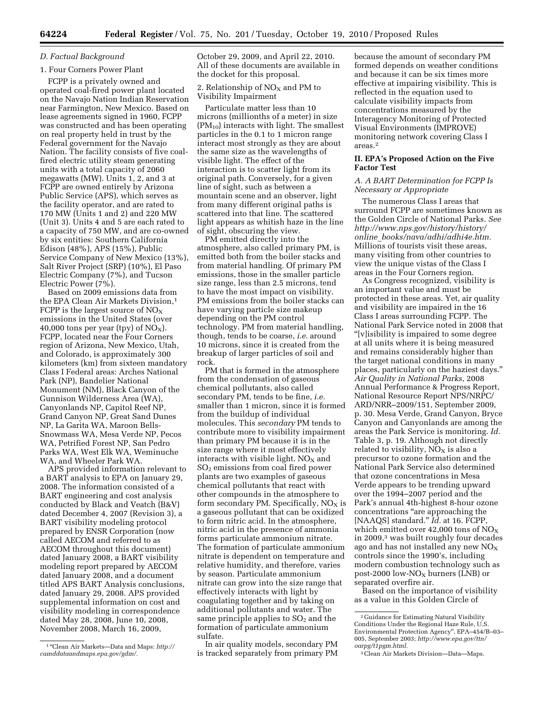## *D. Factual Background*

## 1. Four Corners Power Plant

FCPP is a privately owned and operated coal-fired power plant located on the Navajo Nation Indian Reservation near Farmington, New Mexico. Based on lease agreements signed in 1960, FCPP was constructed and has been operating on real property held in trust by the Federal government for the Navajo Nation. The facility consists of five coalfired electric utility steam generating units with a total capacity of 2060 megawatts (MW). Units 1, 2, and 3 at FCPP are owned entirely by Arizona Public Service (APS), which serves as the facility operator, and are rated to 170 MW (Units 1 and 2) and 220 MW (Unit 3). Units 4 and 5 are each rated to a capacity of 750 MW, and are co-owned by six entities: Southern California Edison (48%), APS (15%), Public Service Company of New Mexico (13%), Salt River Project (SRP) (10%), El Paso Electric Company (7%), and Tucson Electric Power (7%).

Based on 2009 emissions data from the EPA Clean Air Markets Division,<sup>1</sup> FCPP is the largest source of  $NO_X$ emissions in the United States (over 40,000 tons per year (tpy) of  $NO<sub>X</sub>$ ). FCPP, located near the Four Corners region of Arizona, New Mexico, Utah, and Colorado, is approximately 300 kilometers (km) from sixteen mandatory Class I Federal areas: Arches National Park (NP), Bandelier National Monument (NM), Black Canyon of the Gunnison Wilderness Area (WA), Canyonlands NP, Capitol Reef NP, Grand Canyon NP, Great Sand Dunes NP, La Garita WA, Maroon Bells-Snowmass WA, Mesa Verde NP, Pecos WA, Petrified Forest NP, San Pedro Parks WA, West Elk WA, Weminuche WA, and Wheeler Park WA.

APS provided information relevant to a BART analysis to EPA on January 29, 2008. The information consisted of a BART engineering and cost analysis conducted by Black and Veatch (B&V) dated December 4, 2007 (Revision 3), a BART visibility modeling protocol prepared by ENSR Corporation (now called AECOM and referred to as AECOM throughout this document) dated January 2008, a BART visibility modeling report prepared by AECOM dated January 2008, and a document titled APS BART Analysis conclusions, dated January 29, 2008. APS provided supplemental information on cost and visibility modeling in correspondence dated May 28, 2008, June 10, 2008, November 2008, March 16, 2009,

October 29, 2009, and April 22, 2010. All of these documents are available in the docket for this proposal.

2. Relationship of  $NO<sub>X</sub>$  and PM to Visibility Impairment

Particulate matter less than 10 microns (millionths of a meter) in size  $(PM_{10})$  interacts with light. The smallest particles in the 0.1 to 1 micron range interact most strongly as they are about the same size as the wavelengths of visible light. The effect of the interaction is to scatter light from its original path. Conversely, for a given line of sight, such as between a mountain scene and an observer, light from many different original paths is scattered into that line. The scattered light appears as whitish haze in the line of sight, obscuring the view.

PM emitted directly into the atmosphere, also called primary PM, is emitted both from the boiler stacks and from material handling. Of primary PM emissions, those in the smaller particle size range, less than 2.5 microns, tend to have the most impact on visibility. PM emissions from the boiler stacks can have varying particle size makeup depending on the PM control technology. PM from material handling, though, tends to be coarse, *i.e.* around 10 microns, since it is created from the breakup of larger particles of soil and rock.

PM that is formed in the atmosphere from the condensation of gaseous chemical pollutants, also called secondary PM, tends to be fine, *i.e.*  smaller than 1 micron, since it is formed from the buildup of individual molecules. This *secondary* PM tends to contribute more to visibility impairment than primary PM because it is in the size range where it most effectively interacts with visible light.  $NO<sub>x</sub>$  and SO2 emissions from coal fired power plants are two examples of gaseous chemical pollutants that react with other compounds in the atmosphere to form secondary PM. Specifically,  $NO<sub>X</sub>$  is a gaseous pollutant that can be oxidized to form nitric acid. In the atmosphere, nitric acid in the presence of ammonia forms particulate ammonium nitrate. The formation of particulate ammonium nitrate is dependent on temperature and relative humidity, and therefore, varies by season. Particulate ammonium nitrate can grow into the size range that effectively interacts with light by coagulating together and by taking on additional pollutants and water. The same principle applies to  $SO<sub>2</sub>$  and the formation of particulate ammonium sulfate.

In air quality models, secondary PM is tracked separately from primary PM because the amount of secondary PM formed depends on weather conditions and because it can be six times more effective at impairing visibility. This is reflected in the equation used to calculate visibility impacts from concentrations measured by the Interagency Monitoring of Protected Visual Environments (IMPROVE) monitoring network covering Class I areas.2

## **II. EPA's Proposed Action on the Five Factor Test**

### *A. A BART Determination for FCPP Is Necessary or Appropriate*

The numerous Class I areas that surround FCPP are sometimes known as the Golden Circle of National Parks. *See [http://www.nps.gov/history/history/](http://www.nps.gov/history/history/online_books/nava/adhi/adhi4e.htm) online*\_*[books/nava/adhi/adhi4e.htm.](http://www.nps.gov/history/history/online_books/nava/adhi/adhi4e.htm)*  Millions of tourists visit these areas, many visiting from other countries to view the unique vistas of the Class I areas in the Four Corners region.

As Congress recognized, visibility is an important value and must be protected in these areas. Yet, air quality and visibility are impaired in the 16 Class I areas surrounding FCPP. The National Park Service noted in 2008 that ''[v]isibility is impaired to some degree at all units where it is being measured and remains considerably higher than the target national conditions in many places, particularly on the haziest days.'' *Air Quality in National Parks,* 2008 Annual Performance & Progress Report, National Resource Report NPS/NRPC/ ARD/NRR–2009/151, September 2009, p. 30. Mesa Verde, Grand Canyon, Bryce Canyon and Canyonlands are among the areas the Park Service is monitoring. *Id.*  Table 3, p. 19. Although not directly related to visibility,  $NO<sub>x</sub>$  is also a precursor to ozone formation and the National Park Service also determined that ozone concentrations in Mesa Verde appears to be trending upward over the 1994–2007 period and the Park's annual 4th-highest 8-hour ozone concentrations ''are approaching the [NAAQS] standard.'' *Id.* at 16. FCPP, which emitted over 42,000 tons of  $NO<sub>x</sub>$ in 2009,3 was built roughly four decades ago and has not installed any new  $NO<sub>X</sub>$ controls since the 1990's, including modern combustion technology such as post-2000 low- $NO<sub>X</sub>$  burners (LNB) or separated overfire air.

Based on the importance of visibility as a value in this Golden Circle of

<sup>1</sup> ''Clean Air Markets—Data and Maps: *[http://](http://camddataandmaps.epa.gov/gdm/)  [camddataandmaps.epa.gov/gdm/.](http://camddataandmaps.epa.gov/gdm/)* 

<sup>2</sup> Guidance for Estimating Natural Visibility Conditions Under the Regional Haze Rule, U.S. Environmental Protection Agency'', EPA–454/B–03– 005, September 2003; *[http://www.epa.gov/ttn/](http://www.epa.gov/ttn/oarpg/t1pgm.html)  [oarpg/t1pgm.html.](http://www.epa.gov/ttn/oarpg/t1pgm.html)* 

<sup>3</sup>Clean Air Markets Division—Data—Maps.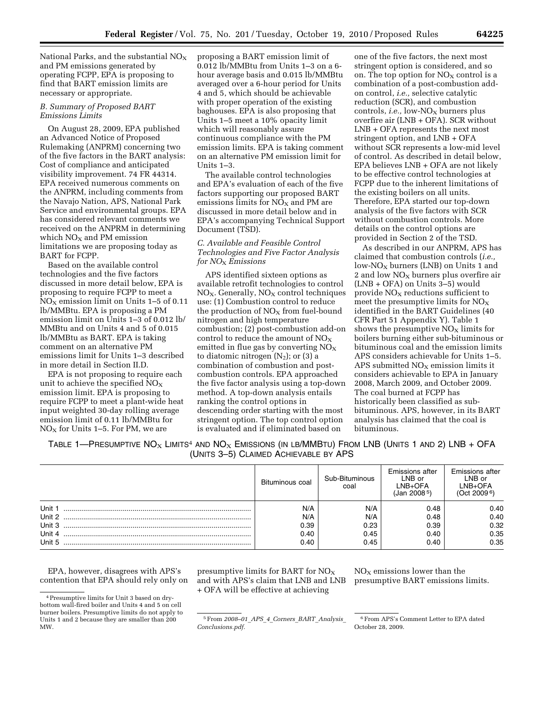National Parks, and the substantial  $NO<sub>x</sub>$ and PM emissions generated by operating FCPP, EPA is proposing to find that BART emission limits are necessary or appropriate.

## *B. Summary of Proposed BART Emissions Limits*

On August 28, 2009, EPA published an Advanced Notice of Proposed Rulemaking (ANPRM) concerning two of the five factors in the BART analysis: Cost of compliance and anticipated visibility improvement. 74 FR 44314. EPA received numerous comments on the ANPRM, including comments from the Navajo Nation, APS, National Park Service and environmental groups. EPA has considered relevant comments we received on the ANPRM in determining which  $NO<sub>x</sub>$  and PM emission limitations we are proposing today as BART for FCPP.

Based on the available control technologies and the five factors discussed in more detail below, EPA is proposing to require FCPP to meet a  $NO<sub>X</sub>$  emission limit on Units 1–5 of 0.11 lb/MMBtu. EPA is proposing a PM emission limit on Units 1–3 of 0.012 lb/ MMBtu and on Units 4 and 5 of 0.015 lb/MMBtu as BART. EPA is taking comment on an alternative PM emissions limit for Units 1–3 described in more detail in Section II.D.

EPA is not proposing to require each unit to achieve the specified  $NO_X$ emission limit. EPA is proposing to require FCPP to meet a plant-wide heat input weighted 30-day rolling average emission limit of 0.11 lb/MMBtu for  $NO<sub>X</sub>$  for Units 1–5. For PM, we are

proposing a BART emission limit of 0.012 lb/MMBtu from Units 1–3 on a 6 hour average basis and 0.015 lb/MMBtu averaged over a 6-hour period for Units 4 and 5, which should be achievable with proper operation of the existing baghouses. EPA is also proposing that Units 1–5 meet a 10% opacity limit which will reasonably assure continuous compliance with the PM emission limits. EPA is taking comment on an alternative PM emission limit for Units 1–3.

The available control technologies and EPA's evaluation of each of the five factors supporting our proposed BART emissions limits for  $NO<sub>x</sub>$  and PM are discussed in more detail below and in EPA's accompanying Technical Support Document (TSD).

# *C. Available and Feasible Control Technologies and Five Factor Analysis for NO*X *Emissions*

APS identified sixteen options as available retrofit technologies to control  $NO<sub>X</sub>$ . Generally,  $NO<sub>X</sub>$  control techniques use: (1) Combustion control to reduce the production of  $NO<sub>x</sub>$  from fuel-bound nitrogen and high temperature combustion; (2) post-combustion add-on control to reduce the amount of  $NO<sub>x</sub>$ emitted in flue gas by converting  $NO<sub>X</sub>$ to diatomic nitrogen  $(N_2)$ ; or  $(3)$  a combination of combustion and postcombustion controls. EPA approached the five factor analysis using a top-down method. A top-down analysis entails ranking the control options in descending order starting with the most stringent option. The top control option is evaluated and if eliminated based on

one of the five factors, the next most stringent option is considered, and so on. The top option for  $NO<sub>X</sub>$  control is a combination of a post-combustion addon control, *i.e.,* selective catalytic reduction (SCR), and combustion controls, *i.e.*, low-NO<sub>X</sub> burners plus overfire air (LNB + OFA). SCR without LNB + OFA represents the next most stringent option, and LNB + OFA without SCR represents a low-mid level of control. As described in detail below, EPA believes LNB + OFA are not likely to be effective control technologies at FCPP due to the inherent limitations of the existing boilers on all units. Therefore, EPA started our top-down analysis of the five factors with SCR without combustion controls. More details on the control options are provided in Section 2 of the TSD.

As described in our ANPRM, APS has claimed that combustion controls (*i.e.,*   $low-NO<sub>X</sub>$  burners (LNB) on Units 1 and 2 and low  $NO<sub>X</sub>$  burners plus overfire air (LNB + OFA) on Units 3–5) would provide  $NO<sub>x</sub>$  reductions sufficient to meet the presumptive limits for  $NO<sub>x</sub>$ identified in the BART Guidelines (40 CFR Part 51 Appendix Y). Table 1 shows the presumptive  $NO<sub>x</sub>$  limits for boilers burning either sub-bituminous or bituminous coal and the emission limits APS considers achievable for Units 1–5. APS submitted  $NO<sub>X</sub>$  emission limits it considers achievable to EPA in January 2008, March 2009, and October 2009. The coal burned at FCPP has historically been classified as subbituminous. APS, however, in its BART analysis has claimed that the coal is bituminous.

TABLE 1—PRESUMPTIVE NO<sub>X</sub> LIMITS<sup>4</sup> AND NO<sub>X</sub> EMISSIONS (IN LB/MMBTU) FROM LNB (UNITS 1 AND 2) LNB + OFA (UNITS 3–5) CLAIMED ACHIEVABLE BY APS

|        | Bituminous coal | Sub-Bituminous<br>coal | <b>Emissions after</b><br>LNB or<br>LNB+OFA<br>$($ Jan 2008 $5)$ | <b>Emissions after</b><br>LNB or<br>LNB+OFA<br>(Oct 2009 <sup>6</sup> ) |
|--------|-----------------|------------------------|------------------------------------------------------------------|-------------------------------------------------------------------------|
| Unit 1 | N/A             | N/A                    | 0.48                                                             | 0.40                                                                    |
| Unit 2 | N/A             | N/A                    | 0.48                                                             | 0.40                                                                    |
| Unit 3 | 0.39            | 0.23                   | 0.39                                                             | 0.32                                                                    |
| Unit 4 | 0.40            | 0.45                   | 0.40                                                             | 0.35                                                                    |
| Unit 5 | 0.40            | 0.45                   | 0.40                                                             | 0.35                                                                    |

EPA, however, disagrees with APS's contention that EPA should rely only on

presumptive limits for BART for  $NO<sub>x</sub>$ and with APS's claim that LNB and LNB + OFA will be effective at achieving

 $NO<sub>X</sub>$  emissions lower than the presumptive BART emissions limits.

6From APS's Comment Letter to EPA dated October 28, 2009.

<sup>4</sup>Presumptive limits for Unit 3 based on drybottom wall-fired boiler and Units 4 and 5 on cell burner boilers. Presumptive limits do not apply to Units 1 and 2 because they are smaller than 200 MW.

<sup>5</sup>From *2008–01*\_*APS*\_*4*\_*Corners*\_*BART*\_*Analysis*\_ *Conclusions.pdf.*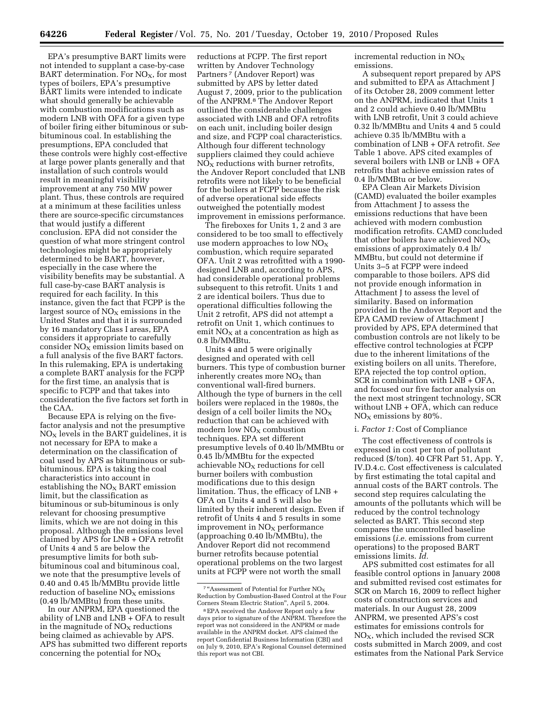EPA's presumptive BART limits were not intended to supplant a case-by-case BART determination. For  $NO<sub>X</sub>$ , for most types of boilers, EPA's presumptive BART limits were intended to indicate what should generally be achievable with combustion modifications such as modern LNB with OFA for a given type of boiler firing either bituminous or subbituminous coal. In establishing the presumptions, EPA concluded that these controls were highly cost-effective at large power plants generally and that installation of such controls would result in meaningful visibility improvement at any 750 MW power plant. Thus, these controls are required at a minimum at these facilities unless there are source-specific circumstances that would justify a different conclusion. EPA did not consider the question of what more stringent control technologies might be appropriately determined to be BART, however, especially in the case where the visibility benefits may be substantial. A full case-by-case BART analysis is required for each facility. In this instance, given the fact that FCPP is the largest source of  $NO<sub>x</sub>$  emissions in the United States and that it is surrounded by 16 mandatory Class I areas, EPA considers it appropriate to carefully consider  $NO<sub>x</sub>$  emission limits based on a full analysis of the five BART factors. In this rulemaking, EPA is undertaking a complete BART analysis for the FCPP for the first time, an analysis that is specific to FCPP and that takes into consideration the five factors set forth in the CAA.

Because EPA is relying on the fivefactor analysis and not the presumptive  $NO<sub>x</sub>$  levels in the BART guidelines, it is not necessary for EPA to make a determination on the classification of coal used by APS as bituminous or subbituminous. EPA is taking the coal characteristics into account in establishing the  $NO<sub>x</sub>$  BART emission limit, but the classification as bituminous or sub-bituminous is only relevant for choosing presumptive limits, which we are not doing in this proposal. Although the emissions level claimed by APS for LNB + OFA retrofit of Units 4 and 5 are below the presumptive limits for both subbituminous coal and bituminous coal, we note that the presumptive levels of 0.40 and 0.45 lb/MMBtu provide little reduction of baseline  $NO<sub>X</sub>$  emissions (0.49 lb/MMBtu) from these units.

In our ANPRM, EPA questioned the ability of LNB and LNB + OFA to result in the magnitude of  $NO<sub>X</sub>$  reductions being claimed as achievable by APS. APS has submitted two different reports concerning the potential for  $NO<sub>x</sub>$ 

reductions at FCPP. The first report written by Andover Technology Partners 7 (Andover Report) was submitted by APS by letter dated August 7, 2009, prior to the publication of the ANPRM.8 The Andover Report outlined the considerable challenges associated with LNB and OFA retrofits on each unit, including boiler design and size, and FCPP coal characteristics. Although four different technology suppliers claimed they could achieve  $NO<sub>x</sub>$  reductions with burner retrofits, the Andover Report concluded that LNB retrofits were not likely to be beneficial for the boilers at FCPP because the risk of adverse operational side effects outweighed the potentially modest improvement in emissions performance.

The fireboxes for Units 1, 2 and 3 are considered to be too small to effectively use modern approaches to low NO<sub>X</sub> combustion, which require separated OFA. Unit 2 was retrofitted with a 1990 designed LNB and, according to APS, had considerable operational problems subsequent to this retrofit. Units 1 and 2 are identical boilers. Thus due to operational difficulties following the Unit 2 retrofit, APS did not attempt a retrofit on Unit 1, which continues to emit  $NO<sub>x</sub>$  at a concentration as high as 0.8 lb/MMBtu.

Units 4 and 5 were originally designed and operated with cell burners. This type of combustion burner inherently creates more  $NO<sub>x</sub>$  than conventional wall-fired burners. Although the type of burners in the cell boilers were replaced in the 1980s, the design of a cell boiler limits the  $NO<sub>x</sub>$ reduction that can be achieved with modern low  $\rm{NO_{X}}$  combustion techniques. EPA set different presumptive levels of 0.40 lb/MMBtu or 0.45 lb/MMBtu for the expected achievable  $NO<sub>X</sub>$  reductions for cell burner boilers with combustion modifications due to this design limitation. Thus, the efficacy of LNB + OFA on Units 4 and 5 will also be limited by their inherent design. Even if retrofit of Units 4 and 5 results in some improvement in  $NO<sub>x</sub>$  performance (approaching 0.40 lb/MMBtu), the Andover Report did not recommend burner retrofits because potential operational problems on the two largest units at FCPP were not worth the small

incremental reduction in  $NO<sub>x</sub>$ emissions.

A subsequent report prepared by APS and submitted to EPA as Attachment J of its October 28, 2009 comment letter on the ANPRM, indicated that Units 1 and 2 could achieve 0.40 lb/MMBtu with LNB retrofit, Unit 3 could achieve 0.32 lb/MMBtu and Units 4 and 5 could achieve 0.35 lb/MMBtu with a combination of LNB + OFA retrofit. *See*  Table 1 above. APS cited examples of several boilers with LNB or LNB + OFA retrofits that achieve emission rates of 0.4 lb/MMBtu or below.

EPA Clean Air Markets Division (CAMD) evaluated the boiler examples from Attachment J to assess the emissions reductions that have been achieved with modern combustion modification retrofits. CAMD concluded that other boilers have achieved  $NO_X$ emissions of approximately 0.4 lb/ MMBtu, but could not determine if Units 3–5 at FCPP were indeed comparable to those boilers. APS did not provide enough information in Attachment J to assess the level of similarity. Based on information provided in the Andover Report and the EPA CAMD review of Attachment J provided by APS, EPA determined that combustion controls are not likely to be effective control technologies at FCPP due to the inherent limitations of the existing boilers on all units. Therefore, EPA rejected the top control option, SCR in combination with LNB + OFA, and focused our five factor analysis on the next most stringent technology, SCR without LNB + OFA, which can reduce  $NO<sub>x</sub>$  emissions by 80%.

#### i. *Factor 1:* Cost of Compliance

The cost effectiveness of controls is expressed in cost per ton of pollutant reduced (\$/ton). 40 CFR Part 51, App. Y, IV.D.4.c. Cost effectiveness is calculated by first estimating the total capital and annual costs of the BART controls. The second step requires calculating the amounts of the pollutants which will be reduced by the control technology selected as BART. This second step compares the uncontrolled baseline emissions (*i.e.* emissions from current operations) to the proposed BART emissions limits. *Id.* 

APS submitted cost estimates for all feasible control options in January 2008 and submitted revised cost estimates for SCR on March 16, 2009 to reflect higher costs of construction services and materials. In our August 28, 2009 ANPRM, we presented APS's cost estimates for emissions controls for  $NO<sub>X</sub>$ , which included the revised SCR costs submitted in March 2009, and cost estimates from the National Park Service

<sup>&</sup>lt;sup>7</sup> "Assessment of Potential for Further NO<sub>x</sub> Reduction by Combustion-Based Control at the Four Corners Steam Electric Station'', April 5, 2004.

<sup>8</sup>EPA received the Andover Report only a few days prior to signature of the ANPRM. Therefore the report was not considered in the ANPRM or made available in the ANPRM docket. APS claimed the report Confidential Business Information (CBI) and on July 9, 2010, EPA's Regional Counsel determined this report was not CBI.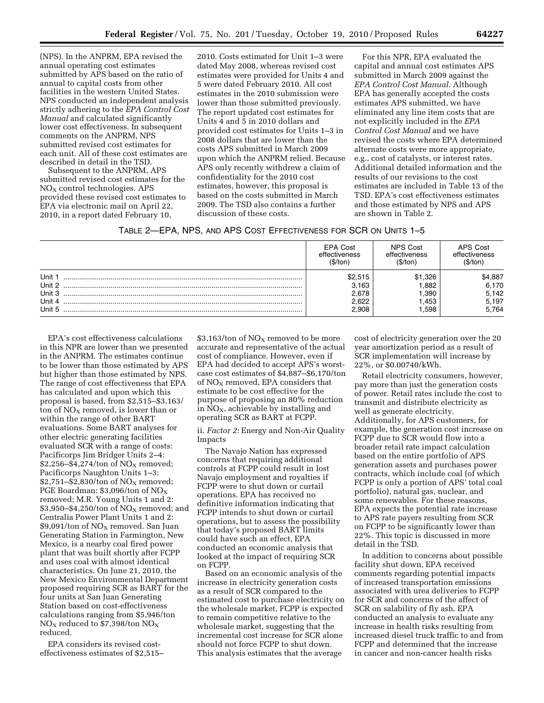(NPS). In the ANPRM, EPA revised the annual operating cost estimates submitted by APS based on the ratio of annual to capital costs from other facilities in the western United States. NPS conducted an independent analysis strictly adhering to the *EPA Control Cost Manual* and calculated significantly lower cost effectiveness. In subsequent comments on the ANPRM, NPS submitted revised cost estimates for each unit. All of these cost estimates are described in detail in the TSD.

Subsequent to the ANPRM, APS submitted revised cost estimates for the  $NO<sub>X</sub>$  control technologies. APS provided these revised cost estimates to EPA via electronic mail on April 22, 2010, in a report dated February 10,

2010. Costs estimated for Unit 1–3 were dated May 2008, whereas revised cost estimates were provided for Units 4 and 5 were dated February 2010. All cost estimates in the 2010 submission were lower than those submitted previously. The report updated cost estimates for Units 4 and 5 in 2010 dollars and provided cost estimates for Units 1–3 in 2008 dollars that are lower than the costs APS submitted in March 2009 upon which the ANPRM relied. Because APS only recently withdrew a claim of confidentiality for the 2010 cost estimates, however, this proposal is based on the costs submitted in March 2009. The TSD also contains a further discussion of these costs.

For this NPR, EPA evaluated the capital and annual cost estimates APS submitted in March 2009 against the *EPA Control Cost Manual.* Although EPA has generally accepted the costs estimates APS submitted, we have eliminated any line item costs that are not explicitly included in the *EPA Control Cost Manual* and we have revised the costs where EPA determined alternate costs were more appropriate, e.g., cost of catalysts, or interest rates. Additional detailed information and the results of our revisions to the cost estimates are included in Table 13 of the TSD. EPA's cost effectiveness estimates and those estimated by NPS and APS are shown in Table 2.

|  | TABLE 2—EPA, NPS, AND APS COST EFFECTIVENESS FOR SCR ON UNITS 1—5 |  |
|--|-------------------------------------------------------------------|--|
|--|-------------------------------------------------------------------|--|

|                                                | <b>EPA Cost</b>                             | NPS Cost                                | APS Cost                                    |
|------------------------------------------------|---------------------------------------------|-----------------------------------------|---------------------------------------------|
|                                                | effectiveness                               | effectiveness                           | effectiveness                               |
|                                                | (\$/ton                                     | (\$/ton                                 | ′\$/ton                                     |
| Unit 1<br>Unit 2<br>Unit 3<br>Unit 4<br>Unit 5 | \$2.515<br>3.163<br>2.678<br>2.622<br>2.908 | \$1.326<br>.882<br>.390<br>.453<br>.598 | \$4,887<br>6,170<br>5,142<br>5,197<br>5.764 |

EPA's cost effectiveness calculations in this NPR are lower than we presented in the ANPRM. The estimates continue to be lower than those estimated by APS but higher than those estimated by NPS. The range of cost effectiveness that EPA has calculated and upon which this proposal is based, from \$2,515–\$3,163/ ton of  $NO<sub>x</sub>$  removed, is lower than or within the range of other BART evaluations. Some BART analyses for other electric generating facilities evaluated SCR with a range of costs: Pacificorps Jim Bridger Units 2–4:  $$2,256–$4,274/ton of NO<sub>X</sub> removed;$ Pacificorps Naughton Units 1–3:  $$2,751–$2,830/ton of NO<sub>X</sub> removed;$ PGE Boardman: \$3,096/ton of NO<sub>X</sub> removed; M.R. Young Units 1 and 2:  $$3,950–$4,250/ton of NO<sub>X</sub> removed; and$ Centralia Power Plant Units 1 and 2:  $$9,091/t$ on of NO<sub>X</sub> removed. San Juan Generating Station in Farmington, New Mexico, is a nearby coal fired power plant that was built shortly after FCPP and uses coal with almost identical characteristics. On June 21, 2010, the New Mexico Environmental Department proposed requiring SCR as BART for the four units at San Juan Generating Station based on cost-effectiveness calculations ranging from \$5,946/ton  $NO<sub>X</sub>$  reduced to \$7,398/ton  $NO<sub>X</sub>$ reduced.

EPA considers its revised costeffectiveness estimates of \$2,515–

 $$3,163/$ ton of NO<sub>X</sub> removed to be more accurate and representative of the actual cost of compliance. However, even if EPA had decided to accept APS's worstcase cost estimates of \$4,887–\$6,170/ton of  $NO<sub>x</sub>$  removed, EPA considers that estimate to be cost effective for the purpose of proposing an 80% reduction in  $\overline{NO_X}$ , achievable by installing and operating SCR as BART at FCPP.

ii. *Factor 2:* Energy and Non-Air Quality Impacts

The Navajo Nation has expressed concerns that requiring additional controls at FCPP could result in lost Navajo employment and royalties if FCPP were to shut down or curtail operations. EPA has received no definitive information indicating that FCPP intends to shut down or curtail operations, but to assess the possibility that today's proposed BART limits could have such an effect, EPA conducted an economic analysis that looked at the impact of requiring SCR on FCPP.

Based on an economic analysis of the increase in electricity generation costs as a result of SCR compared to the estimated cost to purchase electricity on the wholesale market, FCPP is expected to remain competitive relative to the wholesale market, suggesting that the incremental cost increase for SCR alone should not force FCPP to shut down. This analysis estimates that the average

cost of electricity generation over the 20 year amortization period as a result of SCR implementation will increase by 22%, or \$0.00740/kWh.

Retail electricity consumers, however, pay more than just the generation costs of power. Retail rates include the cost to transmit and distribute electricity as well as generate electricity. Additionally, for APS customers, for example, the generation cost increase on FCPP due to SCR would flow into a broader retail rate impact calculation based on the entire portfolio of APS generation assets and purchases power contracts, which include coal (of which FCPP is only a portion of APS' total coal portfolio), natural gas, nuclear, and some renewables. For these reasons, EPA expects the potential rate increase to APS rate payers resulting from SCR on FCPP to be significantly lower than 22%. This topic is discussed in more detail in the TSD.

In addition to concerns about possible facility shut down, EPA received comments regarding potential impacts of increased transportation emissions associated with urea deliveries to FCPP for SCR and concerns of the affect of SCR on salability of fly ash. EPA conducted an analysis to evaluate any increase in health risks resulting from increased diesel truck traffic to and from FCPP and determined that the increase in cancer and non-cancer health risks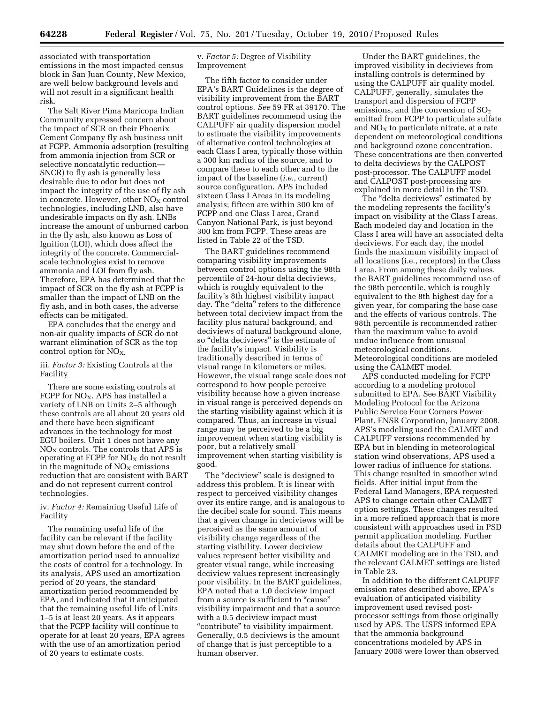**64228 Federal Register** / Vol. 75, No. 201 / Tuesday, October 19, 2010 / Proposed Rules

associated with transportation emissions in the most impacted census block in San Juan County, New Mexico, are well below background levels and will not result in a significant health risk.

The Salt River Pima Maricopa Indian Community expressed concern about the impact of SCR on their Phoenix Cement Company fly ash business unit at FCPP. Ammonia adsorption (resulting from ammonia injection from SCR or selective noncatalytic reduction— SNCR) to fly ash is generally less desirable due to odor but does not impact the integrity of the use of fly ash in concrete. However, other  $NO<sub>X</sub>$  control technologies, including LNB, also have undesirable impacts on fly ash. LNBs increase the amount of unburned carbon in the fly ash, also known as Loss of Ignition (LOI), which does affect the integrity of the concrete. Commercialscale technologies exist to remove ammonia and LOI from fly ash. Therefore, EPA has determined that the impact of SCR on the fly ash at FCPP is smaller than the impact of LNB on the fly ash, and in both cases, the adverse effects can be mitigated.

EPA concludes that the energy and non-air quality impacts of SCR do not warrant elimination of SCR as the top control option for  $NO<sub>X</sub>$ .

## iii. *Factor 3:* Existing Controls at the Facility

There are some existing controls at FCPP for  $NO<sub>X</sub>$ . APS has installed a variety of LNB on Units 2–5 although these controls are all about 20 years old and there have been significant advances in the technology for most EGU boilers. Unit 1 does not have any  $NO<sub>X</sub>$  controls. The controls that APS is operating at FCPP for  $NO<sub>X</sub>$  do not result in the magnitude of  $NO<sub>x</sub>$  emissions reduction that are consistent with BART and do not represent current control technologies.

## iv. *Factor 4:* Remaining Useful Life of Facility

The remaining useful life of the facility can be relevant if the facility may shut down before the end of the amortization period used to annualize the costs of control for a technology. In its analysis, APS used an amortization period of 20 years, the standard amortization period recommended by EPA, and indicated that it anticipated that the remaining useful life of Units 1–5 is at least 20 years. As it appears that the FCPP facility will continue to operate for at least 20 years, EPA agrees with the use of an amortization period of 20 years to estimate costs.

## v. *Factor 5:* Degree of Visibility Improvement

The fifth factor to consider under EPA's BART Guidelines is the degree of visibility improvement from the BART control options. *See* 59 FR at 39170. The BART guidelines recommend using the CALPUFF air quality dispersion model to estimate the visibility improvements of alternative control technologies at each Class I area, typically those within a 300 km radius of the source, and to compare these to each other and to the impact of the baseline (*i.e.,* current) source configuration. APS included sixteen Class I Areas in its modeling analysis; fifteen are within 300 km of FCPP and one Class I area, Grand Canyon National Park, is just beyond 300 km from FCPP. These areas are listed in Table 22 of the TSD.

The BART guidelines recommend comparing visibility improvements between control options using the 98th percentile of 24-hour delta deciviews, which is roughly equivalent to the facility's 8th highest visibility impact day. The "delta" refers to the difference between total deciview impact from the facility plus natural background, and deciviews of natural background alone, so ''delta deciviews'' is the estimate of the facility's impact. Visibility is traditionally described in terms of visual range in kilometers or miles. However, the visual range scale does not correspond to how people perceive visibility because how a given increase in visual range is perceived depends on the starting visibility against which it is compared. Thus, an increase in visual range may be perceived to be a big improvement when starting visibility is poor, but a relatively small improvement when starting visibility is good.

The "deciview" scale is designed to address this problem. It is linear with respect to perceived visibility changes over its entire range, and is analogous to the decibel scale for sound. This means that a given change in deciviews will be perceived as the same amount of visibility change regardless of the starting visibility. Lower deciview values represent better visibility and greater visual range, while increasing deciview values represent increasingly poor visibility. In the BART guidelines, EPA noted that a 1.0 deciview impact from a source is sufficient to "cause' visibility impairment and that a source with a 0.5 deciview impact must "contribute" to visibility impairment. Generally, 0.5 deciviews is the amount of change that is just perceptible to a human observer.

Under the BART guidelines, the improved visibility in deciviews from installing controls is determined by using the CALPUFF air quality model. CALPUFF, generally, simulates the transport and dispersion of FCPP emissions, and the conversion of  $SO<sub>2</sub>$ emitted from FCPP to particulate sulfate and  $NO<sub>x</sub>$  to particulate nitrate, at a rate dependent on meteorological conditions and background ozone concentration. These concentrations are then converted to delta deciviews by the CALPOST post-processor. The CALPUFF model and CALPOST post-processing are explained in more detail in the TSD.

The "delta deciviews" estimated by the modeling represents the facility's impact on visibility at the Class I areas. Each modeled day and location in the Class I area will have an associated delta deciviews. For each day, the model finds the maximum visibility impact of all locations (i.e., receptors) in the Class I area. From among these daily values, the BART guidelines recommend use of the 98th percentile, which is roughly equivalent to the 8th highest day for a given year, for comparing the base case and the effects of various controls. The 98th percentile is recommended rather than the maximum value to avoid undue influence from unusual meteorological conditions. Meteorological conditions are modeled using the CALMET model.

APS conducted modeling for FCPP according to a modeling protocol submitted to EPA. See BART Visibility Modeling Protocol for the Arizona Public Service Four Corners Power Plant, ENSR Corporation, January 2008. APS's modeling used the CALMET and CALPUFF versions recommended by EPA but in blending in meteorological station wind observations, APS used a lower radius of influence for stations. This change resulted in smoother wind fields. After initial input from the Federal Land Managers, EPA requested APS to change certain other CALMET option settings. These changes resulted in a more refined approach that is more consistent with approaches used in PSD permit application modeling. Further details about the CALPUFF and CALMET modeling are in the TSD, and the relevant CALMET settings are listed in Table 23.

In addition to the different CALPUFF emission rates described above, EPA's evaluation of anticipated visibility improvement used revised postprocessor settings from those originally used by APS. The USFS informed EPA that the ammonia background concentrations modeled by APS in January 2008 were lower than observed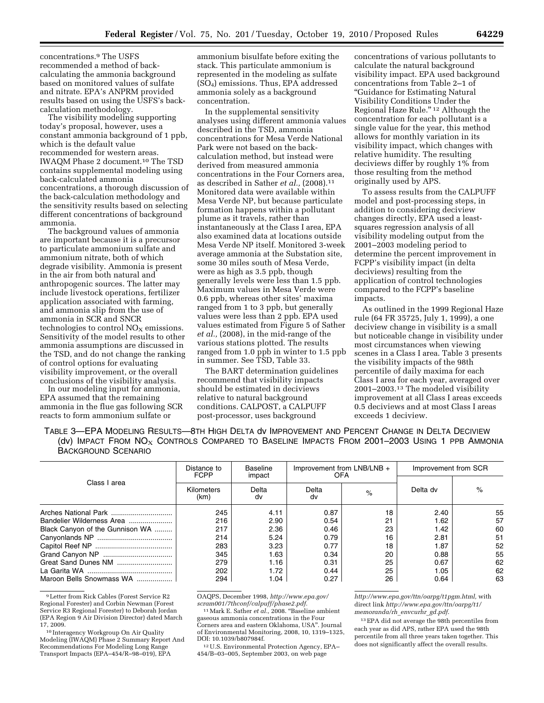concentrations.9 The USFS recommended a method of backcalculating the ammonia background based on monitored values of sulfate and nitrate. EPA's ANPRM provided results based on using the USFS's backcalculation methodology.

The visibility modeling supporting today's proposal, however, uses a constant ammonia background of 1 ppb, which is the default value recommended for western areas. IWAQM Phase 2 document.10 The TSD contains supplemental modeling using back-calculated ammonia concentrations, a thorough discussion of the back-calculation methodology and the sensitivity results based on selecting different concentrations of background ammonia.

The background values of ammonia are important because it is a precursor to particulate ammonium sulfate and ammonium nitrate, both of which degrade visibility. Ammonia is present in the air from both natural and anthropogenic sources. The latter may include livestock operations, fertilizer application associated with farming, and ammonia slip from the use of ammonia in SCR and SNCR technologies to control  $NO<sub>x</sub>$  emissions. Sensitivity of the model results to other ammonia assumptions are discussed in the TSD, and do not change the ranking of control options for evaluating visibility improvement, or the overall conclusions of the visibility analysis.

In our modeling input for ammonia, EPA assumed that the remaining ammonia in the flue gas following SCR reacts to form ammonium sulfate or

ammonium bisulfate before exiting the stack. This particulate ammonium is represented in the modeling as sulfate (SO4) emissions. Thus, EPA addressed ammonia solely as a background concentration.

In the supplemental sensitivity analyses using different ammonia values described in the TSD, ammonia concentrations for Mesa Verde National Park were not based on the backcalculation method, but instead were derived from measured ammonia concentrations in the Four Corners area, as described in Sather *et al.,* (2008).11 Monitored data were available within Mesa Verde NP, but because particulate formation happens within a pollutant plume as it travels, rather than instantaneously at the Class I area, EPA also examined data at locations outside Mesa Verde NP itself. Monitored 3-week average ammonia at the Substation site, some 30 miles south of Mesa Verde, were as high as 3.5 ppb, though generally levels were less than 1.5 ppb. Maximum values in Mesa Verde were 0.6 ppb, whereas other sites' maxima ranged from 1 to 3 ppb, but generally values were less than 2 ppb. EPA used values estimated from Figure 5 of Sather *et al.,* (2008), in the mid-range of the various stations plotted. The results ranged from 1.0 ppb in winter to 1.5 ppb in summer. See TSD, Table 33.

The BART determination guidelines recommend that visibility impacts should be estimated in deciviews relative to natural background conditions. CALPOST, a CALPUFF post-processor, uses background

concentrations of various pollutants to calculate the natural background visibility impact. EPA used background concentrations from Table 2–1 of ''Guidance for Estimating Natural Visibility Conditions Under the Regional Haze Rule.'' 12 Although the concentration for each pollutant is a single value for the year, this method allows for monthly variation in its visibility impact, which changes with relative humidity. The resulting deciviews differ by roughly 1% from those resulting from the method originally used by APS.

To assess results from the CALPUFF model and post-processing steps, in addition to considering deciview changes directly, EPA used a leastsquares regression analysis of all visibility modeling output from the 2001–2003 modeling period to determine the percent improvement in FCPP's visibility impact (in delta deciviews) resulting from the application of control technologies compared to the FCPP's baseline impacts.

As outlined in the 1999 Regional Haze rule (64 FR 35725, July 1, 1999), a one deciview change in visibility is a small but noticeable change in visibility under most circumstances when viewing scenes in a Class I area. Table 3 presents the visibility impacts of the 98th percentile of daily maxima for each Class I area for each year, averaged over 2001–2003.13 The modeled visibility improvement at all Class I areas exceeds 0.5 deciviews and at most Class I areas exceeds 1 deciview.

TABLE 3—EPA MODELING RESULTS—8TH HIGH DELTA dv IMPROVEMENT AND PERCENT CHANGE IN DELTA DECIVIEW (dv) IMPACT FROM  $NO_{X}$  Controls Compared to Baseline Impacts From 2001–2003 Using 1 ppb Ammonia BACKGROUND SCENARIO

| Class I area                    | Distance to<br><b>FCPP</b> | Baseline<br>impact | Improvement from LNB/LNB +<br>OFA |    | Improvement from SCR |    |
|---------------------------------|----------------------------|--------------------|-----------------------------------|----|----------------------|----|
|                                 | Kilometers<br>(km)         | Delta<br>dv        | Delta<br>dv                       | %  | Delta dv             | %  |
|                                 | 245                        | 4.11               | 0.87                              | 18 | 2.40                 | 55 |
| Bandelier Wilderness Area       | 216                        | 2.90               | 0.54                              | 21 | 1.62                 | 57 |
| Black Canyon of the Gunnison WA | 217                        | 2.36               | 0.46                              | 23 | 1.42                 | 60 |
|                                 | 214                        | 5.24               | 0.79                              | 16 | 2.81                 | 51 |
|                                 | 283                        | 3.23               | 0.77                              | 18 | 1.87                 | 52 |
|                                 | 345                        | 1.63               | 0.34                              | 20 | 0.88                 | 55 |
|                                 | 279                        | 1.16               | 0.31                              | 25 | 0.67                 | 62 |
|                                 | 202                        | 1.72               | 0.44                              | 25 | 1.05                 | 62 |
| Maroon Bells Snowmass WA        | 294                        | 1.04               | 0.27                              | 26 | 0.64                 | 63 |

9Letter from Rick Cables (Forest Service R2 Regional Forester) and Corbin Newman (Forest Service R3 Regional Forester) to Deborah Jordan (EPA Region 9 Air Division Director) dated March 17, 2009.

10 Interagency Workgroup On Air Quality Modeling (IWAQM) Phase 2 Summary Report And Recommendations For Modeling Long Range Transport Impacts (EPA–454/R–98–019), EPA

OAQPS, December 1998, *[http://www.epa.gov/](http://www.epa.gov/scram001/7thconf/calpuff/phase2.pdf)  [scram001/7thconf/calpuff/phase2.pdf.](http://www.epa.gov/scram001/7thconf/calpuff/phase2.pdf)* 

<sup>11</sup> Mark E. Sather *et al.*, 2008. "Baseline ambient gaseous ammonia concentrations in the Four Corners area and eastern Oklahoma, USA''. Journal of Environmental Monitoring, 2008, 10, 1319–1325,

<sup>12</sup> U.S. Environmental Protection Agency, EPA– 454/B–03–005, September 2003, on web page

*[http://www.epa.gov/ttn/oarpg/t1pgm.html,](http://www.epa.gov/ttn/oarpg/t1pgm.html)* with direct link *[http://www.epa.gov/ttn/oarpg/t1/](http://www.epa.gov/ttn/oarpg/t1/memoranda/rh_envcurhr_gd.pdf) [memoranda/rh](http://www.epa.gov/ttn/oarpg/t1/memoranda/rh_envcurhr_gd.pdf)*\_*envcurhr*\_*gd.pdf*.

13EPA did not average the 98th percentiles from each year as did APS, rather EPA used the 98th percentile from all three years taken together. This does not significantly affect the overall results.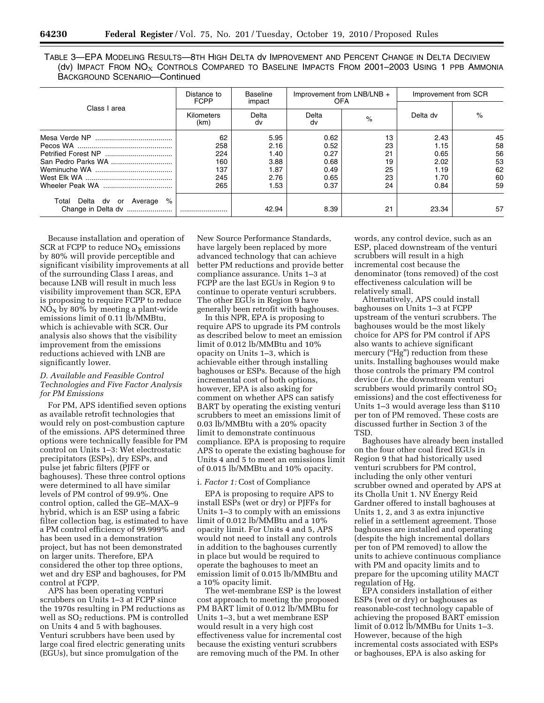| TABLE 3—EPA MODELING RESULTS—8TH HIGH DELTA dV IMPROVEMENT AND PERCENT CHANGE IN DELTA DECIVIEW        |  |  |
|--------------------------------------------------------------------------------------------------------|--|--|
| (dv) IMPACT FROM $NO_{\rm X}$ Controls Compared to Baseline IMPACTS FROM 2001-2003 USING 1 PPB AMMONIA |  |  |
| BACKGROUND SCENARIO—Continued                                                                          |  |  |

| Class I area                      | Distance to<br><b>FCPP</b> | Baseline<br>impact | Improvement from LNB/LNB +<br><b>OFA</b> |      | Improvement from SCR |      |
|-----------------------------------|----------------------------|--------------------|------------------------------------------|------|----------------------|------|
|                                   | Kilometers<br>(km)         | Delta<br>dv        | Delta<br>dv                              | $\%$ | Delta dv             | $\%$ |
|                                   | 62                         | 5.95               | 0.62                                     | 13   | 2.43                 | 45   |
|                                   | 258                        | 2.16               | 0.52                                     | 23   | 1.15                 | 58   |
|                                   | 224                        | 1.40               | 0.27                                     | 21   | 0.65                 | 56   |
|                                   | 160                        | 3.88               | 0.68                                     | 19   | 2.02                 | 53   |
|                                   | 137                        | 1.87               | 0.49                                     | 25   | 1.19                 | 62   |
|                                   | 245                        | 2.76               | 0.65                                     | 23   | 1.70                 | 60   |
|                                   | 265                        | 1.53               | 0.37                                     | 24   | 0.84                 | 59   |
| %<br>Total Delta dv or<br>Average |                            |                    |                                          |      |                      |      |
| Change in Delta dv                |                            | 42.94              | 8.39                                     | 21   | 23.34                | 57   |

Because installation and operation of SCR at FCPP to reduce  $NO<sub>X</sub>$  emissions by 80% will provide perceptible and significant visibility improvements at all of the surrounding Class I areas, and because LNB will result in much less visibility improvement than SCR, EPA is proposing to require FCPP to reduce  $NO<sub>X</sub>$  by 80% by meeting a plant-wide emissions limit of 0.11 lb/MMBtu, which is achievable with SCR. Our analysis also shows that the visibility improvement from the emissions reductions achieved with LNB are significantly lower.

## *D. Available and Feasible Control Technologies and Five Factor Analysis for PM Emissions*

For PM, APS identified seven options as available retrofit technologies that would rely on post-combustion capture of the emissions. APS determined three options were technically feasible for PM control on Units 1–3: Wet electrostatic precipitators (ESPs), dry ESPs, and pulse jet fabric filters (PJFF or baghouses). These three control options were determined to all have similar levels of PM control of 99.9%. One control option, called the GE–MAX–9 hybrid, which is an ESP using a fabric filter collection bag, is estimated to have a PM control efficiency of 99.999% and has been used in a demonstration project, but has not been demonstrated on larger units. Therefore, EPA considered the other top three options, wet and dry ESP and baghouses, for PM control at FCPP.

APS has been operating venturi scrubbers on Units 1–3 at FCPP since the 1970s resulting in PM reductions as well as  $SO<sub>2</sub>$  reductions. PM is controlled on Units 4 and 5 with baghouses. Venturi scrubbers have been used by large coal fired electric generating units (EGUs), but since promulgation of the

New Source Performance Standards, have largely been replaced by more advanced technology that can achieve better PM reductions and provide better compliance assurance. Units 1–3 at FCPP are the last EGUs in Region 9 to continue to operate venturi scrubbers. The other EGUs in Region 9 have generally been retrofit with baghouses.

In this NPR, EPA is proposing to require APS to upgrade its PM controls as described below to meet an emission limit of 0.012 lb/MMBtu and 10% opacity on Units 1–3, which is achievable either through installing baghouses or ESPs. Because of the high incremental cost of both options, however, EPA is also asking for comment on whether APS can satisfy BART by operating the existing venturi scrubbers to meet an emissions limit of 0.03 lb/MMBtu with a 20% opacity limit to demonstrate continuous compliance. EPA is proposing to require APS to operate the existing baghouse for Units 4 and 5 to meet an emissions limit of 0.015 lb/MMBtu and 10% opacity.

## i. *Factor 1:* Cost of Compliance

EPA is proposing to require APS to install ESPs (wet or dry) or PJFFs for Units 1–3 to comply with an emissions limit of 0.012 lb/MMBtu and a 10% opacity limit. For Units 4 and 5, APS would not need to install any controls in addition to the baghouses currently in place but would be required to operate the baghouses to meet an emission limit of 0.015 lb/MMBtu and a 10% opacity limit.

The wet-membrane ESP is the lowest cost approach to meeting the proposed PM BART limit of 0.012 lb/MMBtu for Units 1–3, but a wet membrane ESP would result in a very high cost effectiveness value for incremental cost because the existing venturi scrubbers are removing much of the PM. In other

words, any control device, such as an ESP, placed downstream of the venturi scrubbers will result in a high incremental cost because the denominator (tons removed) of the cost effectiveness calculation will be relatively small.

Alternatively, APS could install baghouses on Units 1–3 at FCPP upstream of the venturi scrubbers. The baghouses would be the most likely choice for APS for PM control if APS also wants to achieve significant mercury ("Hg") reduction from these units. Installing baghouses would make those controls the primary PM control device (*i.e.* the downstream venturi scrubbers would primarily control  $SO<sub>2</sub>$ emissions) and the cost effectiveness for Units 1–3 would average less than \$110 per ton of PM removed. These costs are discussed further in Section 3 of the TSD.

Baghouses have already been installed on the four other coal fired EGUs in Region 9 that had historically used venturi scrubbers for PM control, including the only other venturi scrubber owned and operated by APS at its Cholla Unit 1. NV Energy Reid Gardner offered to install baghouses at Units 1, 2, and 3 as extra injunctive relief in a settlement agreement. Those baghouses are installed and operating (despite the high incremental dollars per ton of PM removed) to allow the units to achieve continuous compliance with PM and opacity limits and to prepare for the upcoming utility MACT regulation of Hg.

EPA considers installation of either ESPs (wet or dry) or baghouses as reasonable-cost technology capable of achieving the proposed BART emission limit of 0.012 lb/MMBu for Units 1–3. However, because of the high incremental costs associated with ESPs or baghouses, EPA is also asking for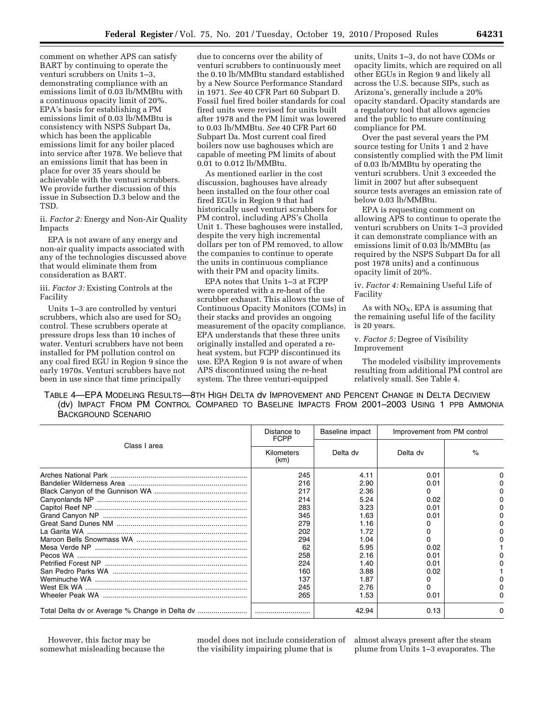comment on whether APS can satisfy BART by continuing to operate the venturi scrubbers on Units 1–3, demonstrating compliance with an emissions limit of 0.03 lb/MMBtu with a continuous opacity limit of 20%. EPA's basis for establishing a PM emissions limit of 0.03 lb/MMBtu is consistency with NSPS Subpart Da, which has been the applicable emissions limit for any boiler placed into service after 1978. We believe that an emissions limit that has been in place for over 35 years should be achievable with the venturi scrubbers. We provide further discussion of this issue in Subsection D.3 below and the TSD.

ii. *Factor 2:* Energy and Non-Air Quality Impacts

EPA is not aware of any energy and non-air quality impacts associated with any of the technologies discussed above that would eliminate them from consideration as BART.

iii. *Factor 3:* Existing Controls at the Facility

Units 1–3 are controlled by venturi scrubbers, which also are used for  $SO<sub>2</sub>$ control. These scrubbers operate at pressure drops less than 10 inches of water. Venturi scrubbers have not been installed for PM pollution control on any coal fired EGU in Region 9 since the early 1970s. Venturi scrubbers have not been in use since that time principally

due to concerns over the ability of venturi scrubbers to continuously meet the 0.10 lb/MMBtu standard established by a New Source Performance Standard in 1971. *See* 40 CFR Part 60 Subpart D. Fossil fuel fired boiler standards for coal fired units were revised for units built after 1978 and the PM limit was lowered to 0.03 lb/MMBtu. *See* 40 CFR Part 60 Subpart Da. Most current coal fired boilers now use baghouses which are capable of meeting PM limits of about 0.01 to 0.012 lb/MMBtu.

As mentioned earlier in the cost discussion, baghouses have already been installed on the four other coal fired EGUs in Region 9 that had historically used venturi scrubbers for PM control, including APS's Cholla Unit 1. These baghouses were installed, despite the very high incremental dollars per ton of PM removed, to allow the companies to continue to operate the units in continuous compliance with their PM and opacity limits.

EPA notes that Units 1–3 at FCPP were operated with a re-heat of the scrubber exhaust. This allows the use of Continuous Opacity Monitors (COMs) in their stacks and provides an ongoing measurement of the opacity compliance. EPA understands that these three units originally installed and operated a reheat system, but FCPP discontinued its use. EPA Region 9 is not aware of when APS discontinued using the re-heat system. The three venturi-equipped

units, Units 1–3, do not have COMs or opacity limits, which are required on all other EGUs in Region 9 and likely all across the U.S. because SIPs, such as Arizona's, generally include a 20% opacity standard. Opacity standards are a regulatory tool that allows agencies and the public to ensure continuing compliance for PM.

Over the past several years the PM source testing for Units 1 and 2 have consistently complied with the PM limit of 0.03 lb/MMBtu by operating the venturi scrubbers. Unit 3 exceeded the limit in 2007 but after subsequent source tests averages an emission rate of below 0.03 lb/MMBtu.

EPA is requesting comment on allowing APS to continue to operate the venturi scrubbers on Units 1–3 provided it can demonstrate compliance with an emissions limit of 0.03 lb/MMBtu (as required by the NSPS Subpart Da for all post 1978 units) and a continuous opacity limit of 20%.

iv. *Factor 4:* Remaining Useful Life of Facility

As with  $NO<sub>X</sub>$ , EPA is assuming that the remaining useful life of the facility is 20 years.

v. *Factor 5:* Degree of Visibility Improvement

The modeled visibility improvements resulting from additional PM control are relatively small. See Table 4.

TABLE 4—EPA MODELING RESULTS—8TH HIGH DELTA dv IMPROVEMENT AND PERCENT CHANGE IN DELTA DECIVIEW (dv) IMPACT FROM PM CONTROL COMPARED TO BASELINE IMPACTS FROM 2001–2003 USING 1 PPB AMMONIA BACKGROUND SCENARIO

|              | Distance to<br><b>FCPP</b> | Baseline impact<br>Improvement from PM control |              |      |
|--------------|----------------------------|------------------------------------------------|--------------|------|
| Class I area | Kilometers<br>(km)         | Delta dv                                       | Delta dv     | $\%$ |
|              | 245<br>216                 | 4.11<br>2.90                                   | 0.01<br>0.01 |      |
|              | 217                        | 2.36                                           |              |      |
|              | 214                        | 5.24                                           | 0.02         |      |
|              | 283                        | 3.23                                           | 0.01         |      |
|              | 345                        | 1.63                                           | 0.01         |      |
|              | 279                        | 1.16                                           |              |      |
|              | 202                        | 1.72                                           |              |      |
|              | 294                        | 1.04                                           |              |      |
|              | 62                         | 5.95                                           | 0.02         |      |
|              | 258                        | 2.16                                           | 0.01         |      |
|              | 224                        | 1.40                                           | 0.01         |      |
|              | 160                        | 3.88                                           | 0.02         |      |
|              | 137                        | 1.87                                           |              |      |
|              | 245                        | 2.76                                           |              |      |
|              | 265                        | 1.53                                           | 0.01         |      |
|              |                            | 42.94                                          | 0.13         | o    |

However, this factor may be somewhat misleading because the model does not include consideration of the visibility impairing plume that is

almost always present after the steam plume from Units 1–3 evaporates. The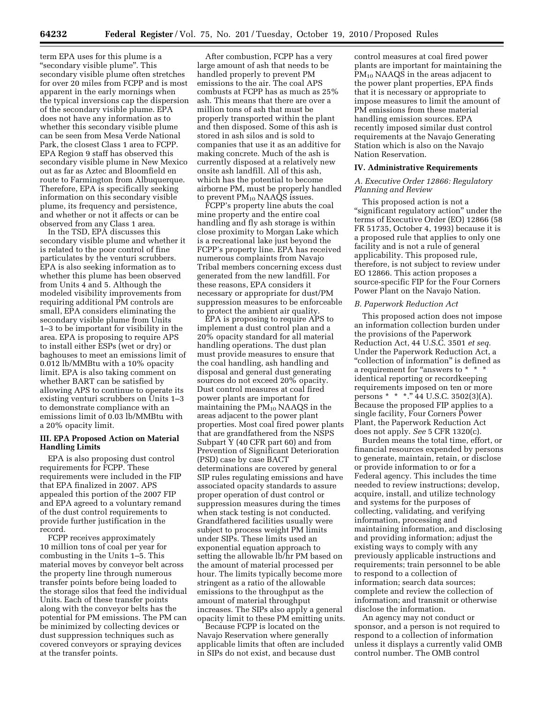term EPA uses for this plume is a ''secondary visible plume''. This secondary visible plume often stretches for over 20 miles from FCPP and is most apparent in the early mornings when the typical inversions cap the dispersion of the secondary visible plume. EPA does not have any information as to whether this secondary visible plume can be seen from Mesa Verde National Park, the closest Class 1 area to FCPP. EPA Region 9 staff has observed this secondary visible plume in New Mexico out as far as Aztec and Bloomfield en route to Farmington from Albuquerque. Therefore, EPA is specifically seeking information on this secondary visible plume, its frequency and persistence, and whether or not it affects or can be observed from any Class 1 area.

In the TSD, EPA discusses this secondary visible plume and whether it is related to the poor control of fine particulates by the venturi scrubbers. EPA is also seeking information as to whether this plume has been observed from Units 4 and 5. Although the modeled visibility improvements from requiring additional PM controls are small, EPA considers eliminating the secondary visible plume from Units 1–3 to be important for visibility in the area. EPA is proposing to require APS to install either ESPs (wet or dry) or baghouses to meet an emissions limit of 0.012 lb/MMBtu with a 10% opacity limit. EPA is also taking comment on whether BART can be satisfied by allowing APS to continue to operate its existing venturi scrubbers on Units 1–3 to demonstrate compliance with an emissions limit of 0.03 lb/MMBtu with a 20% opacity limit.

## **III. EPA Proposed Action on Material Handling Limits**

EPA is also proposing dust control requirements for FCPP. These requirements were included in the FIP that EPA finalized in 2007. APS appealed this portion of the 2007 FIP and EPA agreed to a voluntary remand of the dust control requirements to provide further justification in the record.

FCPP receives approximately 10 million tons of coal per year for combusting in the Units 1–5. This material moves by conveyor belt across the property line through numerous transfer points before being loaded to the storage silos that feed the individual Units. Each of these transfer points along with the conveyor belts has the potential for PM emissions. The PM can be minimized by collecting devices or dust suppression techniques such as covered conveyors or spraying devices at the transfer points.

After combustion, FCPP has a very large amount of ash that needs to be handled properly to prevent PM emissions to the air. The coal APS combusts at FCPP has as much as 25% ash. This means that there are over a million tons of ash that must be properly transported within the plant and then disposed. Some of this ash is stored in ash silos and is sold to companies that use it as an additive for making concrete. Much of the ash is currently disposed at a relatively new onsite ash landfill. All of this ash, which has the potential to become airborne PM, must be properly handled to prevent  $PM_{10}$  NAAQS issues.

FCPP's property line abuts the coal mine property and the entire coal handling and fly ash storage is within close proximity to Morgan Lake which is a recreational lake just beyond the FCPP's property line. EPA has received numerous complaints from Navajo Tribal members concerning excess dust generated from the new landfill. For these reasons, EPA considers it necessary or appropriate for dust/PM suppression measures to be enforceable to protect the ambient air quality.

EPA is proposing to require APS to implement a dust control plan and a 20% opacity standard for all material handling operations. The dust plan must provide measures to ensure that the coal handling, ash handling and disposal and general dust generating sources do not exceed 20% opacity. Dust control measures at coal fired power plants are important for maintaining the  $PM_{10}$  NAAQS in the areas adjacent to the power plant properties. Most coal fired power plants that are grandfathered from the NSPS Subpart Y (40 CFR part 60) and from Prevention of Significant Deterioration (PSD) case by case BACT determinations are covered by general SIP rules regulating emissions and have associated opacity standards to assure proper operation of dust control or suppression measures during the times when stack testing is not conducted. Grandfathered facilities usually were subject to process weight PM limits under SIPs. These limits used an exponential equation approach to setting the allowable lb/hr PM based on the amount of material processed per hour. The limits typically become more stringent as a ratio of the allowable emissions to the throughput as the amount of material throughput increases. The SIPs also apply a general opacity limit to these PM emitting units.

Because FCPP is located on the Navajo Reservation where generally applicable limits that often are included in SIPs do not exist, and because dust

control measures at coal fired power plants are important for maintaining the PM<sub>10</sub> NAAQS in the areas adjacent to the power plant properties, EPA finds that it is necessary or appropriate to impose measures to limit the amount of PM emissions from these material handling emission sources. EPA recently imposed similar dust control requirements at the Navajo Generating Station which is also on the Navajo Nation Reservation.

#### **IV. Administrative Requirements**

## *A. Executive Order 12866: Regulatory Planning and Review*

This proposed action is not a "significant regulatory action" under the terms of Executive Order (EO) 12866 (58 FR 51735, October 4, 1993) because it is a proposed rule that applies to only one facility and is not a rule of general applicability. This proposed rule, therefore, is not subject to review under EO 12866. This action proposes a source-specific FIP for the Four Corners Power Plant on the Navajo Nation.

#### *B. Paperwork Reduction Act*

This proposed action does not impose an information collection burden under the provisions of the Paperwork Reduction Act, 44 U.S.C. 3501 *et seq.*  Under the Paperwork Reduction Act, a "collection of information" is defined as a requirement for "answers to \* \* \* identical reporting or recordkeeping requirements imposed on ten or more persons \* \* \*."  $44$  U.S.C. 3502(3)(A). Because the proposed FIP applies to a single facility, Four Corners Power Plant, the Paperwork Reduction Act does not apply. *See* 5 CFR 1320(c).

Burden means the total time, effort, or financial resources expended by persons to generate, maintain, retain, or disclose or provide information to or for a Federal agency. This includes the time needed to review instructions; develop, acquire, install, and utilize technology and systems for the purposes of collecting, validating, and verifying information, processing and maintaining information, and disclosing and providing information; adjust the existing ways to comply with any previously applicable instructions and requirements; train personnel to be able to respond to a collection of information; search data sources; complete and review the collection of information; and transmit or otherwise disclose the information.

An agency may not conduct or sponsor, and a person is not required to respond to a collection of information unless it displays a currently valid OMB control number. The OMB control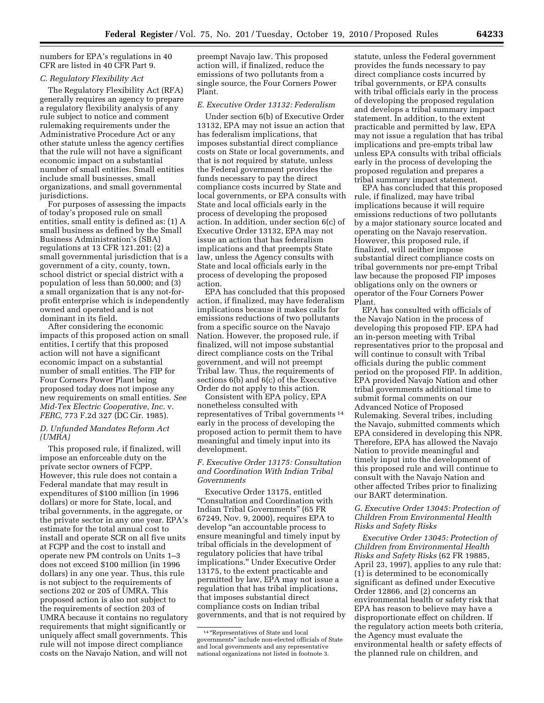numbers for EPA's regulations in 40 CFR are listed in 40 CFR Part 9.

## *C. Regulatory Flexibility Act*

The Regulatory Flexibility Act (RFA) generally requires an agency to prepare a regulatory flexibility analysis of any rule subject to notice and comment rulemaking requirements under the Administrative Procedure Act or any other statute unless the agency certifies that the rule will not have a significant economic impact on a substantial number of small entities. Small entities include small businesses, small organizations, and small governmental jurisdictions.

For purposes of assessing the impacts of today's proposed rule on small entities, small entity is defined as: (1) A small business as defined by the Small Business Administration's (SBA) regulations at 13 CFR 121.201; (2) a small governmental jurisdiction that is a government of a city, county, town, school district or special district with a population of less than 50,000; and (3) a small organization that is any not-forprofit enterprise which is independently owned and operated and is not dominant in its field.

After considering the economic impacts of this proposed action on small entities, I certify that this proposed action will not have a significant economic impact on a substantial number of small entities. The FIP for Four Corners Power Plant being proposed today does not impose any new requirements on small entities. *See Mid-Tex Electric Cooperative, Inc.* v. *FERC,* 773 F.2d 327 (DC Cir. 1985).

### *D. Unfunded Mandates Reform Act (UMRA)*

This proposed rule, if finalized, will impose an enforceable duty on the private sector owners of FCPP. However, this rule does not contain a Federal mandate that may result in expenditures of \$100 million (in 1996 dollars) or more for State, local, and tribal governments, in the aggregate, or the private sector in any one year. EPA's estimate for the total annual cost to install and operate SCR on all five units at FCPP and the cost to install and operate new PM controls on Units 1–3 does not exceed \$100 million (in 1996 dollars) in any one year. Thus, this rule is not subject to the requirements of sections 202 or 205 of UMRA. This proposed action is also not subject to the requirements of section 203 of UMRA because it contains no regulatory requirements that might significantly or uniquely affect small governments. This rule will not impose direct compliance costs on the Navajo Nation, and will not

preempt Navajo law. This proposed action will, if finalized, reduce the emissions of two pollutants from a single source, the Four Corners Power Plant.

#### *E. Executive Order 13132: Federalism*

Under section 6(b) of Executive Order 13132, EPA may not issue an action that has federalism implications, that imposes substantial direct compliance costs on State or local governments, and that is not required by statute, unless the Federal government provides the funds necessary to pay the direct compliance costs incurred by State and local governments, or EPA consults with State and local officials early in the process of developing the proposed action. In addition, under section 6(c) of Executive Order 13132, EPA may not issue an action that has federalism implications and that preempts State law, unless the Agency consults with State and local officials early in the process of developing the proposed action.

EPA has concluded that this proposed action, if finalized, may have federalism implications because it makes calls for emissions reductions of two pollutants from a specific source on the Navajo Nation. However, the proposed rule, if finalized, will not impose substantial direct compliance costs on the Tribal government, and will not preempt Tribal law. Thus, the requirements of sections 6(b) and 6(c) of the Executive Order do not apply to this action.

Consistent with EPA policy, EPA nonetheless consulted with representatives of Tribal governments 14 early in the process of developing the proposed action to permit them to have meaningful and timely input into its development.

### *F. Executive Order 13175: Consultation and Coordination With Indian Tribal Governments*

Executive Order 13175, entitled ''Consultation and Coordination with Indian Tribal Governments'' (65 FR 67249, Nov. 9, 2000), requires EPA to develop ''an accountable process to ensure meaningful and timely input by tribal officials in the development of regulatory policies that have tribal implications.'' Under Executive Order 13175, to the extent practicable and permitted by law, EPA may not issue a regulation that has tribal implications, that imposes substantial direct compliance costs on Indian tribal governments, and that is not required by statute, unless the Federal government provides the funds necessary to pay direct compliance costs incurred by tribal governments, or EPA consults with tribal officials early in the process of developing the proposed regulation and develops a tribal summary impact statement. In addition, to the extent practicable and permitted by law, EPA may not issue a regulation that has tribal implications and pre-empts tribal law unless EPA consults with tribal officials early in the process of developing the proposed regulation and prepares a tribal summary impact statement.

EPA has concluded that this proposed rule, if finalized, may have tribal implications because it will require emissions reductions of two pollutants by a major stationary source located and operating on the Navajo reservation. However, this proposed rule, if finalized, will neither impose substantial direct compliance costs on tribal governments nor pre-empt Tribal law because the proposed FIP imposes obligations only on the owners or operator of the Four Corners Power Plant.

EPA has consulted with officials of the Navajo Nation in the process of developing this proposed FIP. EPA had an in-person meeting with Tribal representatives prior to the proposal and will continue to consult with Tribal officials during the public comment period on the proposed FIP. In addition, EPA provided Navajo Nation and other tribal governments additional time to submit formal comments on our Advanced Notice of Proposed Rulemaking. Several tribes, including the Navajo, submitted comments which EPA considered in developing this NPR. Therefore, EPA has allowed the Navajo Nation to provide meaningful and timely input into the development of this proposed rule and will continue to consult with the Navajo Nation and other affected Tribes prior to finalizing our BART determination.

## *G. Executive Order 13045: Protection of Children From Environmental Health Risks and Safety Risks*

*Executive Order 13045: Protection of Children from Environmental Health Risks and Safety Risks* (62 FR 19885, April 23, 1997), applies to any rule that: (1) is determined to be economically significant as defined under Executive Order 12866, and (2) concerns an environmental health or safety risk that EPA has reason to believe may have a disproportionate effect on children. If the regulatory action meets both criteria, the Agency must evaluate the environmental health or safety effects of the planned rule on children, and

<sup>14</sup> ''Representatives of State and local governments'' include non-elected officials of State and local governments and any representative national organizations not listed in footnote 3.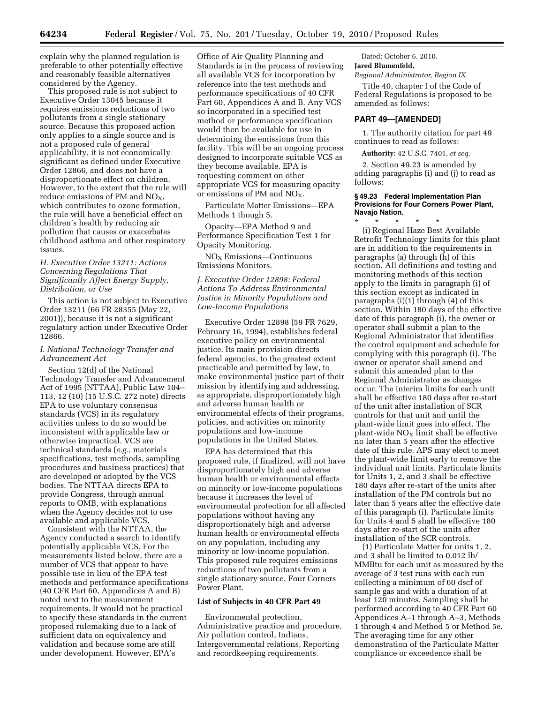explain why the planned regulation is preferable to other potentially effective and reasonably feasible alternatives considered by the Agency.

This proposed rule is not subject to Executive Order 13045 because it requires emissions reductions of two pollutants from a single stationary source. Because this proposed action only applies to a single source and is not a proposed rule of general applicability, it is not economically significant as defined under Executive Order 12866, and does not have a disproportionate effect on children. However, to the extent that the rule will reduce emissions of PM and  $NO<sub>x</sub>$ , which contributes to ozone formation, the rule will have a beneficial effect on children's health by reducing air pollution that causes or exacerbates childhood asthma and other respiratory issues.

## *H. Executive Order 13211: Actions Concerning Regulations That Significantly Affect Energy Supply, Distribution, or Use*

This action is not subject to Executive Order 13211 (66 FR 28355 (May 22, 2001)), because it is not a significant regulatory action under Executive Order 12866.

### *I. National Technology Transfer and Advancement Act*

Section 12(d) of the National Technology Transfer and Advancement Act of 1995 (NTTAA), Public Law 104– 113, 12 (10) (15 U.S.C. 272 note) directs EPA to use voluntary consensus standards (VCS) in its regulatory activities unless to do so would be inconsistent with applicable law or otherwise impractical. VCS are technical standards (*e.g.,* materials specifications, test methods, sampling procedures and business practices) that are developed or adopted by the VCS bodies. The NTTAA directs EPA to provide Congress, through annual reports to OMB, with explanations when the Agency decides not to use available and applicable VCS.

Consistent with the NTTAA, the Agency conducted a search to identify potentially applicable VCS. For the measurements listed below, there are a number of VCS that appear to have possible use in lieu of the EPA test methods and performance specifications (40 CFR Part 60, Appendices A and B) noted next to the measurement requirements. It would not be practical to specify these standards in the current proposed rulemaking due to a lack of sufficient data on equivalency and validation and because some are still under development. However, EPA's

Office of Air Quality Planning and Standards is in the process of reviewing all available VCS for incorporation by reference into the test methods and performance specifications of 40 CFR Part 60, Appendices A and B. Any VCS so incorporated in a specified test method or performance specification would then be available for use in determining the emissions from this facility. This will be an ongoing process designed to incorporate suitable VCS as they become available. EPA is requesting comment on other appropriate VCS for measuring opacity or emissions of PM and  $NO<sub>X</sub>$ .

Particulate Matter Emissions—EPA Methods 1 though 5.

Opacity—EPA Method 9 and Performance Specification Test 1 for Opacity Monitoring.

NOX Emissions—Continuous Emissions Monitors.

## *J. Executive Order 12898: Federal Actions To Address Environmental Justice in Minority Populations and Low-Income Populations*

Executive Order 12898 (59 FR 7629, February 16, 1994), establishes federal executive policy on environmental justice. Its main provision directs federal agencies, to the greatest extent practicable and permitted by law, to make environmental justice part of their mission by identifying and addressing, as appropriate, disproportionately high and adverse human health or environmental effects of their programs, policies, and activities on minority populations and low-income populations in the United States.

EPA has determined that this proposed rule, if finalized, will not have disproportionately high and adverse human health or environmental effects on minority or low-income populations because it increases the level of environmental protection for all affected populations without having any disproportionately high and adverse human health or environmental effects on any population, including any minority or low-income population. This proposed rule requires emissions reductions of two pollutants from a single stationary source, Four Corners Power Plant.

#### **List of Subjects in 40 CFR Part 49**

Environmental protection, Administrative practice and procedure, Air pollution control, Indians, Intergovernmental relations, Reporting and recordkeeping requirements.

Dated: October 6, 2010. **Jared Blumenfeld,** 

*Regional Administrator, Region IX.* 

Title 40, chapter I of the Code of Federal Regulations is proposed to be amended as follows:

#### **PART 49—[AMENDED]**

1. The authority citation for part 49 continues to read as follows:

**Authority:** 42 U.S.C. 7401, *et seq.* 

2. Section 49.23 is amended by adding paragraphs (i) and (j) to read as follows:

## **§ 49.23 Federal Implementation Plan Provisions for Four Corners Power Plant, Navajo Nation.**

\* \* \* \* \* (i) Regional Haze Best Available Retrofit Technology limits for this plant are in addition to the requirements in paragraphs (a) through (h) of this section. All definitions and testing and monitoring methods of this section apply to the limits in paragraph (i) of this section except as indicated in paragraphs (i)(1) through (4) of this section. Within 180 days of the effective date of this paragraph (i), the owner or operator shall submit a plan to the Regional Administrator that identifies the control equipment and schedule for complying with this paragraph (i). The owner or operator shall amend and submit this amended plan to the Regional Administrator as changes occur. The interim limits for each unit shall be effective 180 days after re-start of the unit after installation of SCR controls for that unit and until the plant-wide limit goes into effect. The plant-wide  $NO<sub>x</sub>$  limit shall be effective no later than 5 years after the effective date of this rule. APS may elect to meet the plant-wide limit early to remove the individual unit limits. Particulate limits for Units 1, 2, and 3 shall be effective 180 days after re-start of the units after installation of the PM controls but no later than 5 years after the effective date of this paragraph (i). Particulate limits for Units 4 and 5 shall be effective 180 days after re-start of the units after installation of the SCR controls.

(1) Particulate Matter for units 1, 2, and 3 shall be limited to 0.012 lb/ MMBtu for each unit as measured by the average of 3 test runs with each run collecting a minimum of 60 dscf of sample gas and with a duration of at least 120 minutes. Sampling shall be performed according to 40 CFR Part 60 Appendices A–1 through A–3, Methods 1 through 4 and Method 5 or Method 5e. The averaging time for any other demonstration of the Particulate Matter compliance or exceedence shall be